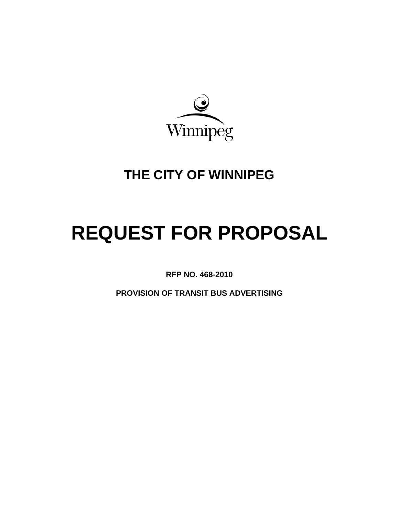

# **THE CITY OF WINNIPEG**

# **REQUEST FOR PROPOSAL**

**RFP NO. 468-2010**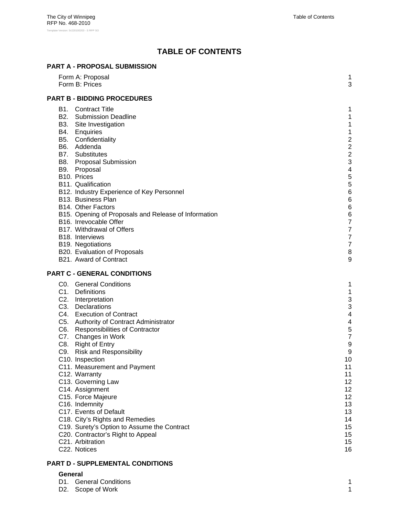# **TABLE OF CONTENTS**

#### **PART A - PROPOSAL SUBMISSION**

| Form A: Proposal<br>Form B: Prices                                                                                                                                                                                                                                                                                                                                                                                                                                                                                                                                                                                      | 1<br>3                                                                                                                                                         |
|-------------------------------------------------------------------------------------------------------------------------------------------------------------------------------------------------------------------------------------------------------------------------------------------------------------------------------------------------------------------------------------------------------------------------------------------------------------------------------------------------------------------------------------------------------------------------------------------------------------------------|----------------------------------------------------------------------------------------------------------------------------------------------------------------|
| <b>PART B - BIDDING PROCEDURES</b>                                                                                                                                                                                                                                                                                                                                                                                                                                                                                                                                                                                      |                                                                                                                                                                |
| <b>B1.</b> Contract Title<br><b>B2.</b> Submission Deadline<br>B3. Site Investigation<br>B4. Enquiries<br>B5. Confidentiality<br>B6. Addenda<br><b>B7.</b> Substitutes<br>B8. Proposal Submission<br>B9. Proposal<br>B10. Prices<br>B11. Qualification<br>B12. Industry Experience of Key Personnel<br>B13. Business Plan<br>B14. Other Factors<br>B15. Opening of Proposals and Release of Information<br>B <sub>16</sub> . Irrevocable Offer<br>B17. Withdrawal of Offers<br>B <sub>18</sub> . Interviews<br>B19. Negotiations<br>B20. Evaluation of Proposals<br>B21. Award of Contract                              | 1<br>1<br>1<br>1<br>$\overline{\mathbf{c}}$<br>$\overline{\mathbf{c}}$<br>$\overline{a}$<br>3<br>4<br>5<br>5<br>6<br>6<br>6<br>6<br>7<br>7<br>7<br>7<br>8<br>9 |
| <b>PART C - GENERAL CONDITIONS</b>                                                                                                                                                                                                                                                                                                                                                                                                                                                                                                                                                                                      |                                                                                                                                                                |
| C0. General Conditions<br>C1. Definitions<br>C2. Interpretation<br>C3. Declarations<br>C4. Execution of Contract<br>C5. Authority of Contract Administrator<br>C6. Responsibilities of Contractor<br>C7. Changes in Work<br>C8. Right of Entry<br>C9. Risk and Responsibility<br>C10. Inspection<br>C11. Measurement and Payment<br>C12. Warranty<br>C13. Governing Law<br>C14. Assignment<br>C15. Force Majeure<br>C16. Indemnity<br>C17. Events of Default<br>C18. City's Rights and Remedies<br>C19. Surety's Option to Assume the Contract<br>C20. Contractor's Right to Appeal<br>C21. Arbitration<br>C22. Notices | 1<br>1<br>3<br>3<br>4<br>4<br>5<br>7<br>9<br>9<br>10<br>11<br>11<br>12<br>12<br>12<br>13<br>13<br>14<br>15<br>15<br>15<br>16                                   |

# **PART D - SUPPLEMENTAL CONDITIONS**

# **General**

| D1. General Conditions |  |
|------------------------|--|
| D2. Scope of Work      |  |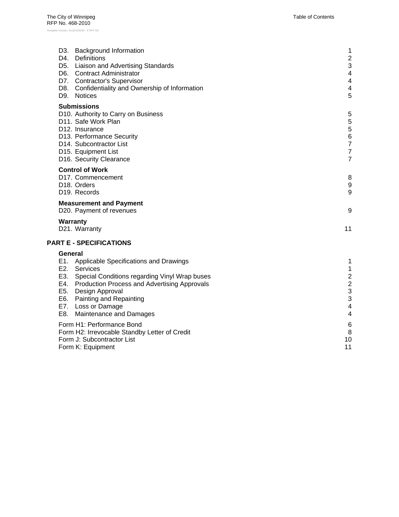| D3. Background Information<br>D4. Definitions<br>D5. Liaison and Advertising Standards<br>D6. Contract Administrator<br>D7. Contractor's Supervisor<br>D8. Confidentiality and Ownership of Information<br>D9. Notices                                                                    | 1<br>$\overline{2}$<br>3<br>$\overline{\mathbf{4}}$<br>4<br>4<br>5                                             |
|-------------------------------------------------------------------------------------------------------------------------------------------------------------------------------------------------------------------------------------------------------------------------------------------|----------------------------------------------------------------------------------------------------------------|
| <b>Submissions</b><br>D10. Authority to Carry on Business<br>D11. Safe Work Plan<br>D <sub>12</sub> . Insurance<br>D13. Performance Security<br>D14. Subcontractor List<br>D15. Equipment List<br>D16. Security Clearance                                                                 | 5<br>5<br>5<br>$\overline{6}$<br>$\overline{7}$<br>$\overline{7}$<br>$\overline{7}$                            |
| <b>Control of Work</b><br>D17. Commencement<br>D18. Orders<br>D <sub>19</sub> . Records                                                                                                                                                                                                   | 8<br>$\boldsymbol{9}$<br>9                                                                                     |
| <b>Measurement and Payment</b><br>D20. Payment of revenues<br>Warranty<br>D21. Warranty                                                                                                                                                                                                   | 9<br>11                                                                                                        |
| <b>PART E - SPECIFICATIONS</b>                                                                                                                                                                                                                                                            |                                                                                                                |
| General<br>E1. Applicable Specifications and Drawings<br>E2. Services<br>E3. Special Conditions regarding Vinyl Wrap buses<br>E4. Production Process and Advertising Approvals<br>E5. Design Approval<br>E6. Painting and Repainting<br>E7. Loss or Damage<br>E8. Maintenance and Damages | 1<br>$\mathbf{1}$<br>$\overline{c}$<br>$\overline{2}$<br>3<br>$\ensuremath{\mathsf{3}}$<br>4<br>$\overline{4}$ |
| Form H1: Performance Bond<br>Form H2: Irrevocable Standby Letter of Credit<br>Form J: Subcontractor List<br>Form K: Equipment                                                                                                                                                             | 6<br>8<br>10<br>11                                                                                             |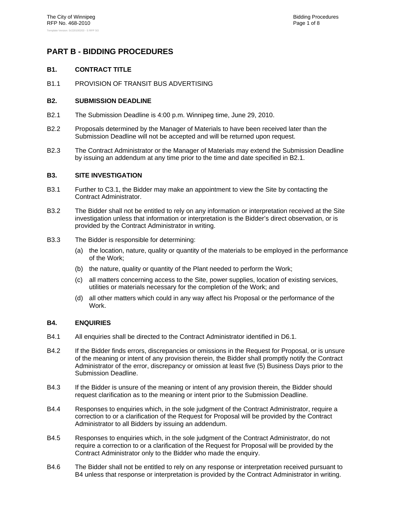# **PART B - BIDDING PROCEDURES**

# **B1. CONTRACT TITLE**

B1.1 PROVISION OF TRANSIT BUS ADVERTISING

# **B2. SUBMISSION DEADLINE**

- B2.1 The Submission Deadline is 4:00 p.m. Winnipeg time, June 29, 2010.
- B2.2 Proposals determined by the Manager of Materials to have been received later than the Submission Deadline will not be accepted and will be returned upon request.
- B2.3 The Contract Administrator or the Manager of Materials may extend the Submission Deadline by issuing an addendum at any time prior to the time and date specified in B2.1.

#### **B3. SITE INVESTIGATION**

- B3.1 Further to C3.1, the Bidder may make an appointment to view the Site by contacting the Contract Administrator.
- B3.2 The Bidder shall not be entitled to rely on any information or interpretation received at the Site investigation unless that information or interpretation is the Bidder's direct observation, or is provided by the Contract Administrator in writing.
- B3.3 The Bidder is responsible for determining:
	- (a) the location, nature, quality or quantity of the materials to be employed in the performance of the Work;
	- (b) the nature, quality or quantity of the Plant needed to perform the Work;
	- (c) all matters concerning access to the Site, power supplies, location of existing services, utilities or materials necessary for the completion of the Work; and
	- (d) all other matters which could in any way affect his Proposal or the performance of the Work.

# **B4. ENQUIRIES**

- B4.1 All enquiries shall be directed to the Contract Administrator identified in D6.1.
- B4.2 If the Bidder finds errors, discrepancies or omissions in the Request for Proposal, or is unsure of the meaning or intent of any provision therein, the Bidder shall promptly notify the Contract Administrator of the error, discrepancy or omission at least five (5) Business Days prior to the Submission Deadline.
- B4.3 If the Bidder is unsure of the meaning or intent of any provision therein, the Bidder should request clarification as to the meaning or intent prior to the Submission Deadline.
- B4.4 Responses to enquiries which, in the sole judgment of the Contract Administrator, require a correction to or a clarification of the Request for Proposal will be provided by the Contract Administrator to all Bidders by issuing an addendum.
- B4.5 Responses to enquiries which, in the sole judgment of the Contract Administrator, do not require a correction to or a clarification of the Request for Proposal will be provided by the Contract Administrator only to the Bidder who made the enquiry.
- B4.6 The Bidder shall not be entitled to rely on any response or interpretation received pursuant to B4 unless that response or interpretation is provided by the Contract Administrator in writing.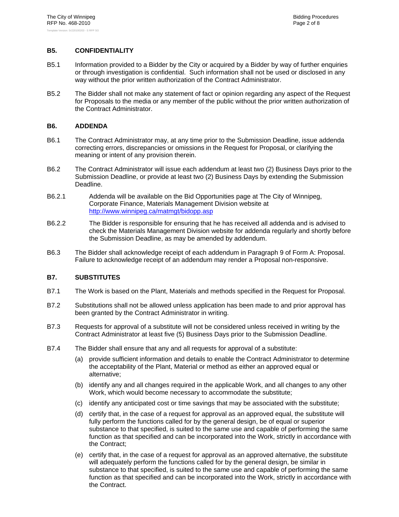# **B5. CONFIDENTIALITY**

- B5.1 Information provided to a Bidder by the City or acquired by a Bidder by way of further enquiries or through investigation is confidential. Such information shall not be used or disclosed in any way without the prior written authorization of the Contract Administrator.
- B5.2 The Bidder shall not make any statement of fact or opinion regarding any aspect of the Request for Proposals to the media or any member of the public without the prior written authorization of the Contract Administrator.

# **B6. ADDENDA**

- B6.1 The Contract Administrator may, at any time prior to the Submission Deadline, issue addenda correcting errors, discrepancies or omissions in the Request for Proposal, or clarifying the meaning or intent of any provision therein.
- B6.2 The Contract Administrator will issue each addendum at least two (2) Business Days prior to the Submission Deadline, or provide at least two (2) Business Days by extending the Submission Deadline.
- B6.2.1 Addenda will be available on the Bid Opportunities page at The City of Winnipeg, Corporate Finance, Materials Management Division website at http://www.winnipeg.ca/matmgt/bidopp.asp
- B6.2.2 The Bidder is responsible for ensuring that he has received all addenda and is advised to check the Materials Management Division website for addenda regularly and shortly before the Submission Deadline, as may be amended by addendum.
- B6.3 The Bidder shall acknowledge receipt of each addendum in Paragraph 9 of Form A: Proposal. Failure to acknowledge receipt of an addendum may render a Proposal non-responsive.

# **B7. SUBSTITUTES**

- B7.1 The Work is based on the Plant, Materials and methods specified in the Request for Proposal.
- B7.2 Substitutions shall not be allowed unless application has been made to and prior approval has been granted by the Contract Administrator in writing.
- B7.3 Requests for approval of a substitute will not be considered unless received in writing by the Contract Administrator at least five (5) Business Days prior to the Submission Deadline.
- B7.4 The Bidder shall ensure that any and all requests for approval of a substitute:
	- (a) provide sufficient information and details to enable the Contract Administrator to determine the acceptability of the Plant, Material or method as either an approved equal or alternative;
	- (b) identify any and all changes required in the applicable Work, and all changes to any other Work, which would become necessary to accommodate the substitute;
	- (c) identify any anticipated cost or time savings that may be associated with the substitute;
	- (d) certify that, in the case of a request for approval as an approved equal, the substitute will fully perform the functions called for by the general design, be of equal or superior substance to that specified, is suited to the same use and capable of performing the same function as that specified and can be incorporated into the Work, strictly in accordance with the Contract;
	- (e) certify that, in the case of a request for approval as an approved alternative, the substitute will adequately perform the functions called for by the general design, be similar in substance to that specified, is suited to the same use and capable of performing the same function as that specified and can be incorporated into the Work, strictly in accordance with the Contract.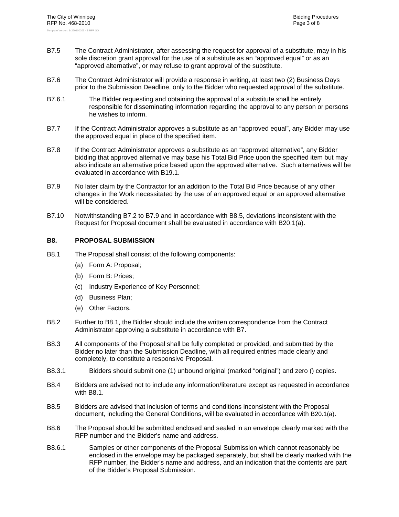- B7.5 The Contract Administrator, after assessing the request for approval of a substitute, may in his sole discretion grant approval for the use of a substitute as an "approved equal" or as an "approved alternative", or may refuse to grant approval of the substitute.
- B7.6 The Contract Administrator will provide a response in writing, at least two (2) Business Days prior to the Submission Deadline, only to the Bidder who requested approval of the substitute.
- B7.6.1 The Bidder requesting and obtaining the approval of a substitute shall be entirely responsible for disseminating information regarding the approval to any person or persons he wishes to inform.
- B7.7 If the Contract Administrator approves a substitute as an "approved equal", any Bidder may use the approved equal in place of the specified item.
- B7.8 If the Contract Administrator approves a substitute as an "approved alternative", any Bidder bidding that approved alternative may base his Total Bid Price upon the specified item but may also indicate an alternative price based upon the approved alternative. Such alternatives will be evaluated in accordance with B19.1.
- B7.9 No later claim by the Contractor for an addition to the Total Bid Price because of any other changes in the Work necessitated by the use of an approved equal or an approved alternative will be considered.
- B7.10 Notwithstanding B7.2 to B7.9 and in accordance with B8.5, deviations inconsistent with the Request for Proposal document shall be evaluated in accordance with B20.1(a).

# **B8. PROPOSAL SUBMISSION**

- B8.1 The Proposal shall consist of the following components:
	- (a) Form A: Proposal;
	- (b) Form B: Prices;
	- (c) Industry Experience of Key Personnel;
	- (d) Business Plan;
	- (e) Other Factors.
- B8.2 Further to B8.1, the Bidder should include the written correspondence from the Contract Administrator approving a substitute in accordance with B7.
- B8.3 All components of the Proposal shall be fully completed or provided, and submitted by the Bidder no later than the Submission Deadline, with all required entries made clearly and completely, to constitute a responsive Proposal.
- B8.3.1 Bidders should submit one (1) unbound original (marked "original") and zero () copies.
- B8.4 Bidders are advised not to include any information/literature except as requested in accordance with B8.1.
- B8.5 Bidders are advised that inclusion of terms and conditions inconsistent with the Proposal document, including the General Conditions, will be evaluated in accordance with B20.1(a).
- B8.6 The Proposal should be submitted enclosed and sealed in an envelope clearly marked with the RFP number and the Bidder's name and address.
- B8.6.1 Samples or other components of the Proposal Submission which cannot reasonably be enclosed in the envelope may be packaged separately, but shall be clearly marked with the RFP number, the Bidder's name and address, and an indication that the contents are part of the Bidder's Proposal Submission.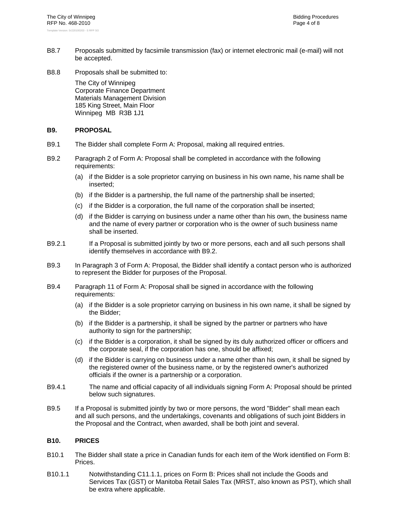- B8.7 Proposals submitted by facsimile transmission (fax) or internet electronic mail (e-mail) will not be accepted.
- B8.8 Proposals shall be submitted to:

The City of Winnipeg Corporate Finance Department Materials Management Division 185 King Street, Main Floor Winnipeg MB R3B 1J1

# **B9. PROPOSAL**

- B9.1 The Bidder shall complete Form A: Proposal, making all required entries.
- B9.2 Paragraph 2 of Form A: Proposal shall be completed in accordance with the following requirements:
	- (a) if the Bidder is a sole proprietor carrying on business in his own name, his name shall be inserted;
	- (b) if the Bidder is a partnership, the full name of the partnership shall be inserted;
	- (c) if the Bidder is a corporation, the full name of the corporation shall be inserted;
	- (d) if the Bidder is carrying on business under a name other than his own, the business name and the name of every partner or corporation who is the owner of such business name shall be inserted.
- B9.2.1 If a Proposal is submitted jointly by two or more persons, each and all such persons shall identify themselves in accordance with B9.2.
- B9.3 In Paragraph 3 of Form A: Proposal, the Bidder shall identify a contact person who is authorized to represent the Bidder for purposes of the Proposal.
- B9.4 Paragraph 11 of Form A: Proposal shall be signed in accordance with the following requirements:
	- (a) if the Bidder is a sole proprietor carrying on business in his own name, it shall be signed by the Bidder;
	- (b) if the Bidder is a partnership, it shall be signed by the partner or partners who have authority to sign for the partnership;
	- (c) if the Bidder is a corporation, it shall be signed by its duly authorized officer or officers and the corporate seal, if the corporation has one, should be affixed;
	- (d) if the Bidder is carrying on business under a name other than his own, it shall be signed by the registered owner of the business name, or by the registered owner's authorized officials if the owner is a partnership or a corporation.
- B9.4.1 The name and official capacity of all individuals signing Form A: Proposal should be printed below such signatures.
- B9.5 If a Proposal is submitted jointly by two or more persons, the word "Bidder" shall mean each and all such persons, and the undertakings, covenants and obligations of such joint Bidders in the Proposal and the Contract, when awarded, shall be both joint and several.

# **B10. PRICES**

- B10.1 The Bidder shall state a price in Canadian funds for each item of the Work identified on Form B: Prices.
- B10.1.1 Notwithstanding C11.1.1, prices on Form B: Prices shall not include the Goods and Services Tax (GST) or Manitoba Retail Sales Tax (MRST, also known as PST), which shall be extra where applicable.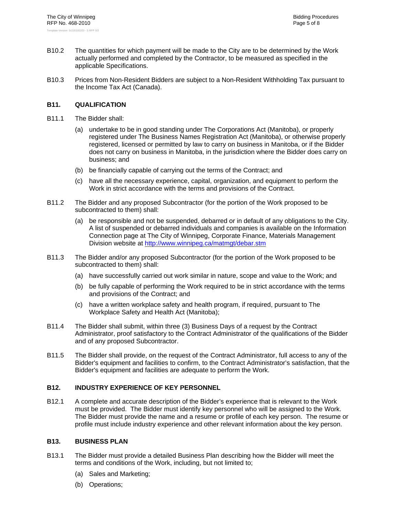- B10.2 The quantities for which payment will be made to the City are to be determined by the Work actually performed and completed by the Contractor, to be measured as specified in the applicable Specifications.
- B10.3 Prices from Non-Resident Bidders are subject to a Non-Resident Withholding Tax pursuant to the Income Tax Act (Canada).

# **B11. QUALIFICATION**

- B11.1 The Bidder shall:
	- (a) undertake to be in good standing under The Corporations Act (Manitoba), or properly registered under The Business Names Registration Act (Manitoba), or otherwise properly registered, licensed or permitted by law to carry on business in Manitoba, or if the Bidder does not carry on business in Manitoba, in the jurisdiction where the Bidder does carry on business; and
	- (b) be financially capable of carrying out the terms of the Contract; and
	- (c) have all the necessary experience, capital, organization, and equipment to perform the Work in strict accordance with the terms and provisions of the Contract.
- B11.2 The Bidder and any proposed Subcontractor (for the portion of the Work proposed to be subcontracted to them) shall:
	- (a) be responsible and not be suspended, debarred or in default of any obligations to the City. A list of suspended or debarred individuals and companies is available on the Information Connection page at The City of Winnipeg, Corporate Finance, Materials Management Division website at http://www.winnipeg.ca/matmgt/debar.stm
- B11.3 The Bidder and/or any proposed Subcontractor (for the portion of the Work proposed to be subcontracted to them) shall:
	- (a) have successfully carried out work similar in nature, scope and value to the Work; and
	- (b) be fully capable of performing the Work required to be in strict accordance with the terms and provisions of the Contract; and
	- (c) have a written workplace safety and health program, if required, pursuant to The Workplace Safety and Health Act (Manitoba);
- B11.4 The Bidder shall submit, within three (3) Business Days of a request by the Contract Administrator, proof satisfactory to the Contract Administrator of the qualifications of the Bidder and of any proposed Subcontractor.
- B11.5 The Bidder shall provide, on the request of the Contract Administrator, full access to any of the Bidder's equipment and facilities to confirm, to the Contract Administrator's satisfaction, that the Bidder's equipment and facilities are adequate to perform the Work.

# **B12. INDUSTRY EXPERIENCE OF KEY PERSONNEL**

B12.1 A complete and accurate description of the Bidder's experience that is relevant to the Work must be provided. The Bidder must identify key personnel who will be assigned to the Work. The Bidder must provide the name and a resume or profile of each key person. The resume or profile must include industry experience and other relevant information about the key person.

#### **B13. BUSINESS PLAN**

- B13.1 The Bidder must provide a detailed Business Plan describing how the Bidder will meet the terms and conditions of the Work, including, but not limited to;
	- (a) Sales and Marketing;
	- (b) Operations;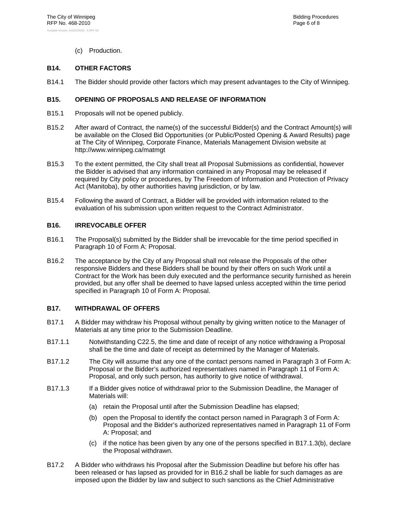(c) Production.

# **B14. OTHER FACTORS**

B14.1 The Bidder should provide other factors which may present advantages to the City of Winnipeg.

# **B15. OPENING OF PROPOSALS AND RELEASE OF INFORMATION**

- B15.1 Proposals will not be opened publicly.
- B15.2 After award of Contract, the name(s) of the successful Bidder(s) and the Contract Amount(s) will be available on the Closed Bid Opportunities (or Public/Posted Opening & Award Results) page at The City of Winnipeg, Corporate Finance, Materials Management Division website at http://www.winnipeg.ca/matmgt
- B15.3 To the extent permitted, the City shall treat all Proposal Submissions as confidential, however the Bidder is advised that any information contained in any Proposal may be released if required by City policy or procedures, by The Freedom of Information and Protection of Privacy Act (Manitoba), by other authorities having jurisdiction, or by law.
- B15.4 Following the award of Contract, a Bidder will be provided with information related to the evaluation of his submission upon written request to the Contract Administrator.

# **B16. IRREVOCABLE OFFER**

- B16.1 The Proposal(s) submitted by the Bidder shall be irrevocable for the time period specified in Paragraph 10 of Form A: Proposal.
- B16.2 The acceptance by the City of any Proposal shall not release the Proposals of the other responsive Bidders and these Bidders shall be bound by their offers on such Work until a Contract for the Work has been duly executed and the performance security furnished as herein provided, but any offer shall be deemed to have lapsed unless accepted within the time period specified in Paragraph 10 of Form A: Proposal.

# **B17. WITHDRAWAL OF OFFERS**

- B17.1 A Bidder may withdraw his Proposal without penalty by giving written notice to the Manager of Materials at any time prior to the Submission Deadline.
- B17.1.1 Notwithstanding C22.5, the time and date of receipt of any notice withdrawing a Proposal shall be the time and date of receipt as determined by the Manager of Materials.
- B17.1.2 The City will assume that any one of the contact persons named in Paragraph 3 of Form A: Proposal or the Bidder's authorized representatives named in Paragraph 11 of Form A: Proposal, and only such person, has authority to give notice of withdrawal.
- B17.1.3 If a Bidder gives notice of withdrawal prior to the Submission Deadline, the Manager of Materials will:
	- (a) retain the Proposal until after the Submission Deadline has elapsed;
	- (b) open the Proposal to identify the contact person named in Paragraph 3 of Form A: Proposal and the Bidder's authorized representatives named in Paragraph 11 of Form A: Proposal; and
	- (c) if the notice has been given by any one of the persons specified in B17.1.3(b), declare the Proposal withdrawn.
- B17.2 A Bidder who withdraws his Proposal after the Submission Deadline but before his offer has been released or has lapsed as provided for in B16.2 shall be liable for such damages as are imposed upon the Bidder by law and subject to such sanctions as the Chief Administrative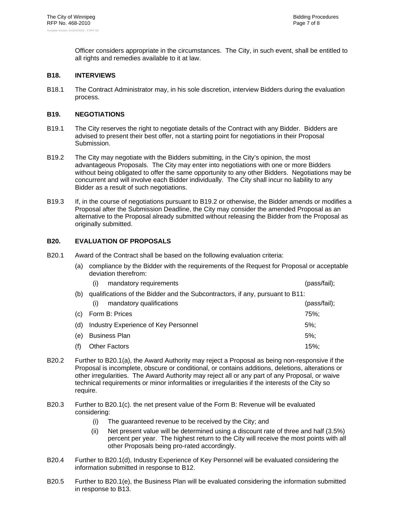Officer considers appropriate in the circumstances. The City, in such event, shall be entitled to all rights and remedies available to it at law.

# **B18. INTERVIEWS**

B18.1 The Contract Administrator may, in his sole discretion, interview Bidders during the evaluation process.

# **B19. NEGOTIATIONS**

- B19.1 The City reserves the right to negotiate details of the Contract with any Bidder. Bidders are advised to present their best offer, not a starting point for negotiations in their Proposal Submission.
- B19.2 The City may negotiate with the Bidders submitting, in the City's opinion, the most advantageous Proposals. The City may enter into negotiations with one or more Bidders without being obligated to offer the same opportunity to any other Bidders. Negotiations may be concurrent and will involve each Bidder individually. The City shall incur no liability to any Bidder as a result of such negotiations.
- B19.3 If, in the course of negotiations pursuant to B19.2 or otherwise, the Bidder amends or modifies a Proposal after the Submission Deadline, the City may consider the amended Proposal as an alternative to the Proposal already submitted without releasing the Bidder from the Proposal as originally submitted.

# **B20. EVALUATION OF PROPOSALS**

- B20.1 Award of the Contract shall be based on the following evaluation criteria:
	- (a) compliance by the Bidder with the requirements of the Request for Proposal or acceptable deviation therefrom:
		- (i) mandatory requirements (pass/fail);

|     | (b) qualifications of the Bidder and the Subcontractors, if any, pursuant to B11: |              |
|-----|-----------------------------------------------------------------------------------|--------------|
|     | mandatory qualifications<br>(i)                                                   | (pass/fail); |
|     | (c) Form B: Prices                                                                | 75%:         |
|     | (d) Industry Experience of Key Personnel                                          | $5\%$ :      |
|     | (e) Business Plan                                                                 | $5\%$ :      |
| (f) | <b>Other Factors</b>                                                              | 15%          |

- B20.2 Further to B20.1(a), the Award Authority may reject a Proposal as being non-responsive if the Proposal is incomplete, obscure or conditional, or contains additions, deletions, alterations or other irregularities. The Award Authority may reject all or any part of any Proposal, or waive technical requirements or minor informalities or irregularities if the interests of the City so require.
- B20.3 Further to B20.1(c). the net present value of the Form B: Revenue will be evaluated considering:
	- (i) The guaranteed revenue to be received by the City; and
	- (ii) Net present value will be determined using a discount rate of three and half (3.5%) percent per year. The highest return to the City will receive the most points with all other Proposals being pro-rated accordingly.
- B20.4 Further to B20.1(d), Industry Experience of Key Personnel will be evaluated considering the information submitted in response to B12.
- B20.5 Further to B20.1(e), the Business Plan will be evaluated considering the information submitted in response to B13.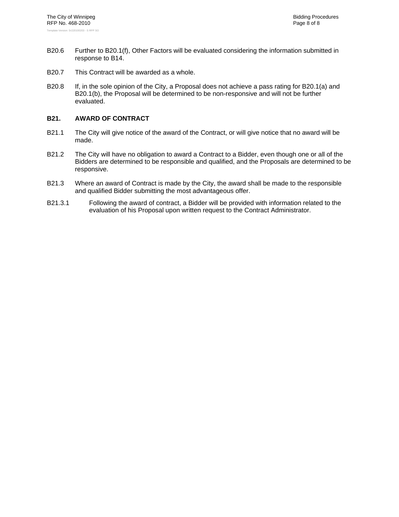- B20.6 Further to B20.1(f), Other Factors will be evaluated considering the information submitted in response to B14.
- B20.7 This Contract will be awarded as a whole.
- B20.8 If, in the sole opinion of the City, a Proposal does not achieve a pass rating for B20.1(a) and B20.1(b), the Proposal will be determined to be non-responsive and will not be further evaluated.

# **B21. AWARD OF CONTRACT**

- B21.1 The City will give notice of the award of the Contract, or will give notice that no award will be made.
- B21.2 The City will have no obligation to award a Contract to a Bidder, even though one or all of the Bidders are determined to be responsible and qualified, and the Proposals are determined to be responsive.
- B21.3 Where an award of Contract is made by the City, the award shall be made to the responsible and qualified Bidder submitting the most advantageous offer.
- B21.3.1 Following the award of contract, a Bidder will be provided with information related to the evaluation of his Proposal upon written request to the Contract Administrator.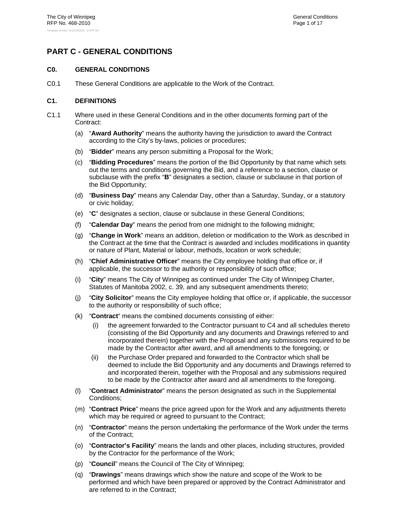# **PART C - GENERAL CONDITIONS**

# **C0. GENERAL CONDITIONS**

C0.1 These General Conditions are applicable to the Work of the Contract.

# **C1. DEFINITIONS**

- C1.1 Where used in these General Conditions and in the other documents forming part of the Contract:
	- (a) "**Award Authority**" means the authority having the jurisdiction to award the Contract according to the City's by-laws, policies or procedures;
	- (b) "**Bidder**" means any person submitting a Proposal for the Work;
	- (c) "**Bidding Procedures**" means the portion of the Bid Opportunity by that name which sets out the terms and conditions governing the Bid, and a reference to a section, clause or subclause with the prefix "**B**" designates a section, clause or subclause in that portion of the Bid Opportunity;
	- (d) "**Business Day**" means any Calendar Day, other than a Saturday, Sunday, or a statutory or civic holiday;
	- (e) "**C**" designates a section, clause or subclause in these General Conditions;
	- (f) "**Calendar Day**" means the period from one midnight to the following midnight;
	- (g) "**Change in Work**" means an addition, deletion or modification to the Work as described in the Contract at the time that the Contract is awarded and includes modifications in quantity or nature of Plant, Material or labour, methods, location or work schedule;
	- (h) "**Chief Administrative Officer**" means the City employee holding that office or, if applicable, the successor to the authority or responsibility of such office;
	- (i) "**City**" means The City of Winnipeg as continued under The City of Winnipeg Charter, Statutes of Manitoba 2002, c. 39, and any subsequent amendments thereto;
	- (j) "**City Solicitor**" means the City employee holding that office or, if applicable, the successor to the authority or responsibility of such office;
	- (k) "**Contract**" means the combined documents consisting of either:
		- (i) the agreement forwarded to the Contractor pursuant to C4 and all schedules thereto (consisting of the Bid Opportunity and any documents and Drawings referred to and incorporated therein) together with the Proposal and any submissions required to be made by the Contractor after award, and all amendments to the foregoing; or
		- (ii) the Purchase Order prepared and forwarded to the Contractor which shall be deemed to include the Bid Opportunity and any documents and Drawings referred to and incorporated therein, together with the Proposal and any submissions required to be made by the Contractor after award and all amendments to the foregoing.
	- (l) "**Contract Administrator**" means the person designated as such in the Supplemental Conditions;
	- (m) "**Contract Price**" means the price agreed upon for the Work and any adjustments thereto which may be required or agreed to pursuant to the Contract;
	- (n) "**Contractor**" means the person undertaking the performance of the Work under the terms of the Contract;
	- (o) "**Contractor's Facility**" means the lands and other places, including structures, provided by the Contractor for the performance of the Work;
	- (p) "**Council**" means the Council of The City of Winnipeg;
	- (q) "**Drawings**" means drawings which show the nature and scope of the Work to be performed and which have been prepared or approved by the Contract Administrator and are referred to in the Contract;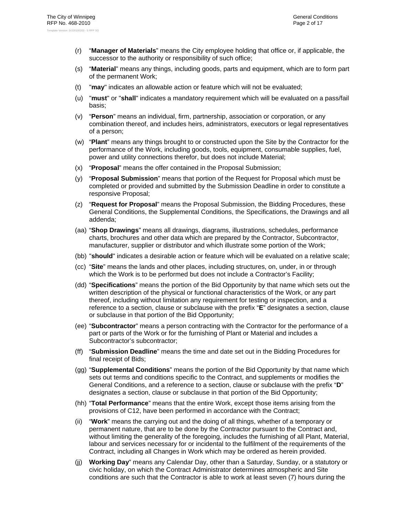- (r) "**Manager of Materials**" means the City employee holding that office or, if applicable, the successor to the authority or responsibility of such office;
- (s) "**Material**" means any things, including goods, parts and equipment, which are to form part of the permanent Work;
- (t) "**may**" indicates an allowable action or feature which will not be evaluated;
- (u) "**must**" or "**shall**" indicates a mandatory requirement which will be evaluated on a pass/fail basis;
- (v) "**Person**" means an individual, firm, partnership, association or corporation, or any combination thereof, and includes heirs, administrators, executors or legal representatives of a person;
- (w) "**Plant**" means any things brought to or constructed upon the Site by the Contractor for the performance of the Work, including goods, tools, equipment, consumable supplies, fuel, power and utility connections therefor, but does not include Material;
- (x) "**Proposal**" means the offer contained in the Proposal Submission;
- (y) "**Proposal Submission**" means that portion of the Request for Proposal which must be completed or provided and submitted by the Submission Deadline in order to constitute a responsive Proposal;
- (z) "**Request for Proposal**" means the Proposal Submission, the Bidding Procedures, these General Conditions, the Supplemental Conditions, the Specifications, the Drawings and all addenda;
- (aa) "**Shop Drawings**" means all drawings, diagrams, illustrations, schedules, performance charts, brochures and other data which are prepared by the Contractor, Subcontractor, manufacturer, supplier or distributor and which illustrate some portion of the Work;
- (bb) "**should**" indicates a desirable action or feature which will be evaluated on a relative scale;
- (cc) "**Site**" means the lands and other places, including structures, on, under, in or through which the Work is to be performed but does not include a Contractor's Facility;
- (dd) "**Specifications**" means the portion of the Bid Opportunity by that name which sets out the written description of the physical or functional characteristics of the Work, or any part thereof, including without limitation any requirement for testing or inspection, and a reference to a section, clause or subclause with the prefix "**E**" designates a section, clause or subclause in that portion of the Bid Opportunity;
- (ee) "**Subcontractor**" means a person contracting with the Contractor for the performance of a part or parts of the Work or for the furnishing of Plant or Material and includes a Subcontractor's subcontractor;
- (ff) "**Submission Deadline**" means the time and date set out in the Bidding Procedures for final receipt of Bids;
- (gg) "**Supplemental Conditions**" means the portion of the Bid Opportunity by that name which sets out terms and conditions specific to the Contract, and supplements or modifies the General Conditions, and a reference to a section, clause or subclause with the prefix "**D**" designates a section, clause or subclause in that portion of the Bid Opportunity;
- (hh) "**Total Performance**" means that the entire Work, except those items arising from the provisions of C12, have been performed in accordance with the Contract;
- (ii) "**Work**" means the carrying out and the doing of all things, whether of a temporary or permanent nature, that are to be done by the Contractor pursuant to the Contract and, without limiting the generality of the foregoing, includes the furnishing of all Plant, Material, labour and services necessary for or incidental to the fulfilment of the requirements of the Contract, including all Changes in Work which may be ordered as herein provided.
- (jj) **Working Day**" means any Calendar Day, other than a Saturday, Sunday, or a statutory or civic holiday, on which the Contract Administrator determines atmospheric and Site conditions are such that the Contractor is able to work at least seven (7) hours during the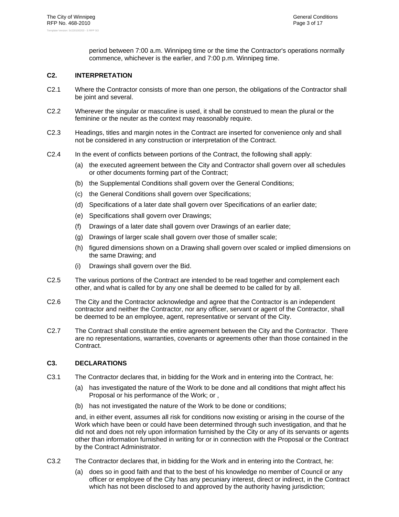period between 7:00 a.m. Winnipeg time or the time the Contractor's operations normally commence, whichever is the earlier, and 7:00 p.m. Winnipeg time.

# **C2. INTERPRETATION**

- C2.1 Where the Contractor consists of more than one person, the obligations of the Contractor shall be joint and several.
- C2.2 Wherever the singular or masculine is used, it shall be construed to mean the plural or the feminine or the neuter as the context may reasonably require.
- C2.3 Headings, titles and margin notes in the Contract are inserted for convenience only and shall not be considered in any construction or interpretation of the Contract.
- C2.4 In the event of conflicts between portions of the Contract, the following shall apply:
	- (a) the executed agreement between the City and Contractor shall govern over all schedules or other documents forming part of the Contract;
	- (b) the Supplemental Conditions shall govern over the General Conditions;
	- (c) the General Conditions shall govern over Specifications;
	- (d) Specifications of a later date shall govern over Specifications of an earlier date;
	- (e) Specifications shall govern over Drawings;
	- (f) Drawings of a later date shall govern over Drawings of an earlier date;
	- (g) Drawings of larger scale shall govern over those of smaller scale;
	- (h) figured dimensions shown on a Drawing shall govern over scaled or implied dimensions on the same Drawing; and
	- (i) Drawings shall govern over the Bid.
- C2.5 The various portions of the Contract are intended to be read together and complement each other, and what is called for by any one shall be deemed to be called for by all.
- C2.6 The City and the Contractor acknowledge and agree that the Contractor is an independent contractor and neither the Contractor, nor any officer, servant or agent of the Contractor, shall be deemed to be an employee, agent, representative or servant of the City.
- C2.7 The Contract shall constitute the entire agreement between the City and the Contractor. There are no representations, warranties, covenants or agreements other than those contained in the Contract.

# **C3. DECLARATIONS**

- C3.1 The Contractor declares that, in bidding for the Work and in entering into the Contract, he:
	- (a) has investigated the nature of the Work to be done and all conditions that might affect his Proposal or his performance of the Work; or ,
	- (b) has not investigated the nature of the Work to be done or conditions;

and, in either event, assumes all risk for conditions now existing or arising in the course of the Work which have been or could have been determined through such investigation, and that he did not and does not rely upon information furnished by the City or any of its servants or agents other than information furnished in writing for or in connection with the Proposal or the Contract by the Contract Administrator.

- C3.2 The Contractor declares that, in bidding for the Work and in entering into the Contract, he:
	- (a) does so in good faith and that to the best of his knowledge no member of Council or any officer or employee of the City has any pecuniary interest, direct or indirect, in the Contract which has not been disclosed to and approved by the authority having jurisdiction;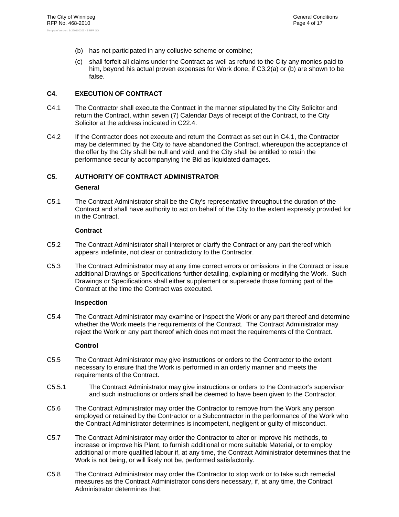- (b) has not participated in any collusive scheme or combine;
- (c) shall forfeit all claims under the Contract as well as refund to the City any monies paid to him, beyond his actual proven expenses for Work done, if C3.2(a) or (b) are shown to be false.

# **C4. EXECUTION OF CONTRACT**

- C4.1 The Contractor shall execute the Contract in the manner stipulated by the City Solicitor and return the Contract, within seven (7) Calendar Days of receipt of the Contract, to the City Solicitor at the address indicated in C22.4.
- C4.2 If the Contractor does not execute and return the Contract as set out in C4.1, the Contractor may be determined by the City to have abandoned the Contract, whereupon the acceptance of the offer by the City shall be null and void, and the City shall be entitled to retain the performance security accompanying the Bid as liquidated damages.

# **C5. AUTHORITY OF CONTRACT ADMINISTRATOR**

# **General**

C5.1 The Contract Administrator shall be the City's representative throughout the duration of the Contract and shall have authority to act on behalf of the City to the extent expressly provided for in the Contract.

# **Contract**

- C5.2 The Contract Administrator shall interpret or clarify the Contract or any part thereof which appears indefinite, not clear or contradictory to the Contractor.
- C5.3 The Contract Administrator may at any time correct errors or omissions in the Contract or issue additional Drawings or Specifications further detailing, explaining or modifying the Work. Such Drawings or Specifications shall either supplement or supersede those forming part of the Contract at the time the Contract was executed.

# **Inspection**

C5.4 The Contract Administrator may examine or inspect the Work or any part thereof and determine whether the Work meets the requirements of the Contract. The Contract Administrator may reject the Work or any part thereof which does not meet the requirements of the Contract.

# **Control**

- C5.5 The Contract Administrator may give instructions or orders to the Contractor to the extent necessary to ensure that the Work is performed in an orderly manner and meets the requirements of the Contract.
- C5.5.1 The Contract Administrator may give instructions or orders to the Contractor's supervisor and such instructions or orders shall be deemed to have been given to the Contractor.
- C5.6 The Contract Administrator may order the Contractor to remove from the Work any person employed or retained by the Contractor or a Subcontractor in the performance of the Work who the Contract Administrator determines is incompetent, negligent or guilty of misconduct.
- C5.7 The Contract Administrator may order the Contractor to alter or improve his methods, to increase or improve his Plant, to furnish additional or more suitable Material, or to employ additional or more qualified labour if, at any time, the Contract Administrator determines that the Work is not being, or will likely not be, performed satisfactorily.
- C5.8 The Contract Administrator may order the Contractor to stop work or to take such remedial measures as the Contract Administrator considers necessary, if, at any time, the Contract Administrator determines that: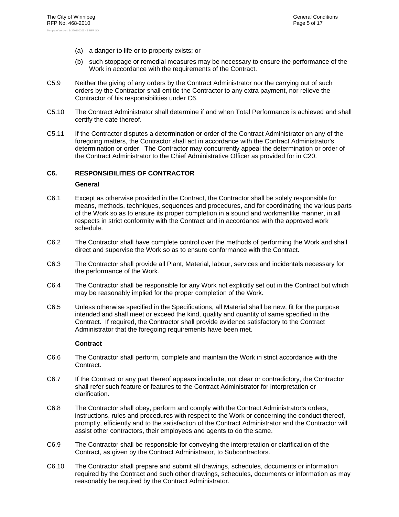- (a) a danger to life or to property exists; or
- (b) such stoppage or remedial measures may be necessary to ensure the performance of the Work in accordance with the requirements of the Contract.
- C5.9 Neither the giving of any orders by the Contract Administrator nor the carrying out of such orders by the Contractor shall entitle the Contractor to any extra payment, nor relieve the Contractor of his responsibilities under C6.
- C5.10 The Contract Administrator shall determine if and when Total Performance is achieved and shall certify the date thereof.
- C5.11 If the Contractor disputes a determination or order of the Contract Administrator on any of the foregoing matters, the Contractor shall act in accordance with the Contract Administrator's determination or order. The Contractor may concurrently appeal the determination or order of the Contract Administrator to the Chief Administrative Officer as provided for in C20.

# **C6. RESPONSIBILITIES OF CONTRACTOR**

#### **General**

- C6.1 Except as otherwise provided in the Contract, the Contractor shall be solely responsible for means, methods, techniques, sequences and procedures, and for coordinating the various parts of the Work so as to ensure its proper completion in a sound and workmanlike manner, in all respects in strict conformity with the Contract and in accordance with the approved work schedule.
- C6.2 The Contractor shall have complete control over the methods of performing the Work and shall direct and supervise the Work so as to ensure conformance with the Contract.
- C6.3 The Contractor shall provide all Plant, Material, labour, services and incidentals necessary for the performance of the Work.
- C6.4 The Contractor shall be responsible for any Work not explicitly set out in the Contract but which may be reasonably implied for the proper completion of the Work.
- C6.5 Unless otherwise specified in the Specifications, all Material shall be new, fit for the purpose intended and shall meet or exceed the kind, quality and quantity of same specified in the Contract. If required, the Contractor shall provide evidence satisfactory to the Contract Administrator that the foregoing requirements have been met.

# **Contract**

- C6.6 The Contractor shall perform, complete and maintain the Work in strict accordance with the Contract.
- C6.7 If the Contract or any part thereof appears indefinite, not clear or contradictory, the Contractor shall refer such feature or features to the Contract Administrator for interpretation or clarification.
- C6.8 The Contractor shall obey, perform and comply with the Contract Administrator's orders, instructions, rules and procedures with respect to the Work or concerning the conduct thereof, promptly, efficiently and to the satisfaction of the Contract Administrator and the Contractor will assist other contractors, their employees and agents to do the same.
- C6.9 The Contractor shall be responsible for conveying the interpretation or clarification of the Contract, as given by the Contract Administrator, to Subcontractors.
- C6.10 The Contractor shall prepare and submit all drawings, schedules, documents or information required by the Contract and such other drawings, schedules, documents or information as may reasonably be required by the Contract Administrator.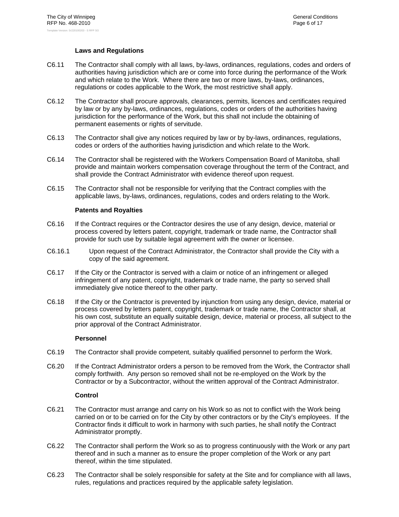# **Laws and Regulations**

- C6.11 The Contractor shall comply with all laws, by-laws, ordinances, regulations, codes and orders of authorities having jurisdiction which are or come into force during the performance of the Work and which relate to the Work. Where there are two or more laws, by-laws, ordinances, regulations or codes applicable to the Work, the most restrictive shall apply.
- C6.12 The Contractor shall procure approvals, clearances, permits, licences and certificates required by law or by any by-laws, ordinances, regulations, codes or orders of the authorities having jurisdiction for the performance of the Work, but this shall not include the obtaining of permanent easements or rights of servitude.
- C6.13 The Contractor shall give any notices required by law or by by-laws, ordinances, regulations, codes or orders of the authorities having jurisdiction and which relate to the Work.
- C6.14 The Contractor shall be registered with the Workers Compensation Board of Manitoba, shall provide and maintain workers compensation coverage throughout the term of the Contract, and shall provide the Contract Administrator with evidence thereof upon request.
- C6.15 The Contractor shall not be responsible for verifying that the Contract complies with the applicable laws, by-laws, ordinances, regulations, codes and orders relating to the Work.

# **Patents and Royalties**

- C6.16 If the Contract requires or the Contractor desires the use of any design, device, material or process covered by letters patent, copyright, trademark or trade name, the Contractor shall provide for such use by suitable legal agreement with the owner or licensee.
- C6.16.1 Upon request of the Contract Administrator, the Contractor shall provide the City with a copy of the said agreement.
- C6.17 If the City or the Contractor is served with a claim or notice of an infringement or alleged infringement of any patent, copyright, trademark or trade name, the party so served shall immediately give notice thereof to the other party.
- C6.18 If the City or the Contractor is prevented by injunction from using any design, device, material or process covered by letters patent, copyright, trademark or trade name, the Contractor shall, at his own cost, substitute an equally suitable design, device, material or process, all subject to the prior approval of the Contract Administrator.

# **Personnel**

- C6.19 The Contractor shall provide competent, suitably qualified personnel to perform the Work.
- C6.20 If the Contract Administrator orders a person to be removed from the Work, the Contractor shall comply forthwith. Any person so removed shall not be re-employed on the Work by the Contractor or by a Subcontractor, without the written approval of the Contract Administrator.

# **Control**

- C6.21 The Contractor must arrange and carry on his Work so as not to conflict with the Work being carried on or to be carried on for the City by other contractors or by the City's employees. If the Contractor finds it difficult to work in harmony with such parties, he shall notify the Contract Administrator promptly.
- C6.22 The Contractor shall perform the Work so as to progress continuously with the Work or any part thereof and in such a manner as to ensure the proper completion of the Work or any part thereof, within the time stipulated.
- C6.23 The Contractor shall be solely responsible for safety at the Site and for compliance with all laws, rules, regulations and practices required by the applicable safety legislation.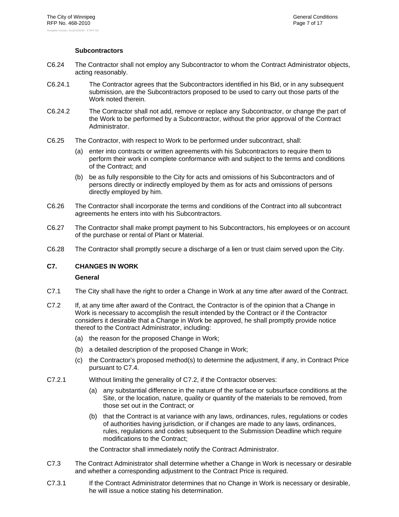# **Subcontractors**

- C6.24 The Contractor shall not employ any Subcontractor to whom the Contract Administrator objects, acting reasonably.
- C6.24.1 The Contractor agrees that the Subcontractors identified in his Bid, or in any subsequent submission, are the Subcontractors proposed to be used to carry out those parts of the Work noted therein.
- C6.24.2 The Contractor shall not add, remove or replace any Subcontractor, or change the part of the Work to be performed by a Subcontractor, without the prior approval of the Contract Administrator.
- C6.25 The Contractor, with respect to Work to be performed under subcontract, shall:
	- (a) enter into contracts or written agreements with his Subcontractors to require them to perform their work in complete conformance with and subject to the terms and conditions of the Contract; and
	- (b) be as fully responsible to the City for acts and omissions of his Subcontractors and of persons directly or indirectly employed by them as for acts and omissions of persons directly employed by him.
- C6.26 The Contractor shall incorporate the terms and conditions of the Contract into all subcontract agreements he enters into with his Subcontractors.
- C6.27 The Contractor shall make prompt payment to his Subcontractors, his employees or on account of the purchase or rental of Plant or Material.
- C6.28 The Contractor shall promptly secure a discharge of a lien or trust claim served upon the City.

# **C7. CHANGES IN WORK**

# **General**

- C7.1 The City shall have the right to order a Change in Work at any time after award of the Contract.
- C7.2 If, at any time after award of the Contract, the Contractor is of the opinion that a Change in Work is necessary to accomplish the result intended by the Contract or if the Contractor considers it desirable that a Change in Work be approved, he shall promptly provide notice thereof to the Contract Administrator, including:
	- (a) the reason for the proposed Change in Work;
	- (b) a detailed description of the proposed Change in Work;
	- (c) the Contractor's proposed method(s) to determine the adjustment, if any, in Contract Price pursuant to C7.4.
- C7.2.1 Without limiting the generality of C7.2, if the Contractor observes:
	- (a) any substantial difference in the nature of the surface or subsurface conditions at the Site, or the location, nature, quality or quantity of the materials to be removed, from those set out in the Contract; or
	- (b) that the Contract is at variance with any laws, ordinances, rules, regulations or codes of authorities having jurisdiction, or if changes are made to any laws, ordinances, rules, regulations and codes subsequent to the Submission Deadline which require modifications to the Contract;

the Contractor shall immediately notify the Contract Administrator.

- C7.3 The Contract Administrator shall determine whether a Change in Work is necessary or desirable and whether a corresponding adjustment to the Contract Price is required.
- C7.3.1 If the Contract Administrator determines that no Change in Work is necessary or desirable, he will issue a notice stating his determination.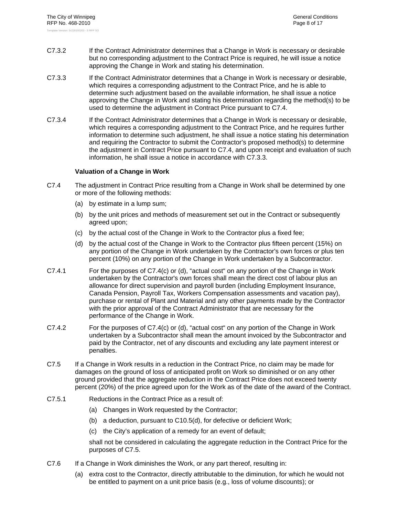- C7.3.2 If the Contract Administrator determines that a Change in Work is necessary or desirable but no corresponding adjustment to the Contract Price is required, he will issue a notice approving the Change in Work and stating his determination.
- C7.3.3 If the Contract Administrator determines that a Change in Work is necessary or desirable, which requires a corresponding adjustment to the Contract Price, and he is able to determine such adjustment based on the available information, he shall issue a notice approving the Change in Work and stating his determination regarding the method(s) to be used to determine the adjustment in Contract Price pursuant to C7.4.
- C7.3.4 If the Contract Administrator determines that a Change in Work is necessary or desirable, which requires a corresponding adjustment to the Contract Price, and he requires further information to determine such adjustment, he shall issue a notice stating his determination and requiring the Contractor to submit the Contractor's proposed method(s) to determine the adjustment in Contract Price pursuant to C7.4, and upon receipt and evaluation of such information, he shall issue a notice in accordance with C7.3.3.

# **Valuation of a Change in Work**

- C7.4 The adjustment in Contract Price resulting from a Change in Work shall be determined by one or more of the following methods:
	- (a) by estimate in a lump sum;
	- (b) by the unit prices and methods of measurement set out in the Contract or subsequently agreed upon;
	- (c) by the actual cost of the Change in Work to the Contractor plus a fixed fee;
	- (d) by the actual cost of the Change in Work to the Contractor plus fifteen percent (15%) on any portion of the Change in Work undertaken by the Contractor's own forces or plus ten percent (10%) on any portion of the Change in Work undertaken by a Subcontractor.
- C7.4.1 For the purposes of C7.4(c) or (d), "actual cost" on any portion of the Change in Work undertaken by the Contractor's own forces shall mean the direct cost of labour plus an allowance for direct supervision and payroll burden (including Employment Insurance, Canada Pension, Payroll Tax, Workers Compensation assessments and vacation pay), purchase or rental of Plant and Material and any other payments made by the Contractor with the prior approval of the Contract Administrator that are necessary for the performance of the Change in Work.
- C7.4.2 For the purposes of C7.4(c) or (d), "actual cost" on any portion of the Change in Work undertaken by a Subcontractor shall mean the amount invoiced by the Subcontractor and paid by the Contractor, net of any discounts and excluding any late payment interest or penalties.
- C7.5 If a Change in Work results in a reduction in the Contract Price, no claim may be made for damages on the ground of loss of anticipated profit on Work so diminished or on any other ground provided that the aggregate reduction in the Contract Price does not exceed twenty percent (20%) of the price agreed upon for the Work as of the date of the award of the Contract.
- C7.5.1 Reductions in the Contract Price as a result of:
	- (a) Changes in Work requested by the Contractor;
	- (b) a deduction, pursuant to C10.5(d), for defective or deficient Work;
	- (c) the City's application of a remedy for an event of default;

shall not be considered in calculating the aggregate reduction in the Contract Price for the purposes of C7.5.

- C7.6 If a Change in Work diminishes the Work, or any part thereof, resulting in:
	- (a) extra cost to the Contractor, directly attributable to the diminution, for which he would not be entitled to payment on a unit price basis (e.g., loss of volume discounts); or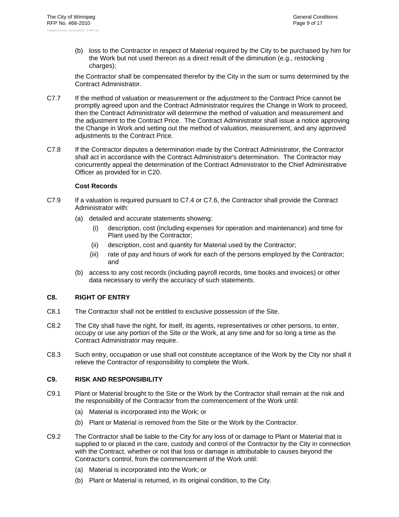(b) loss to the Contractor in respect of Material required by the City to be purchased by him for the Work but not used thereon as a direct result of the diminution (e.g., restocking charges):

the Contractor shall be compensated therefor by the City in the sum or sums determined by the Contract Administrator.

- C7.7 If the method of valuation or measurement or the adjustment to the Contract Price cannot be promptly agreed upon and the Contract Administrator requires the Change in Work to proceed, then the Contract Administrator will determine the method of valuation and measurement and the adjustment to the Contract Price. The Contract Administrator shall issue a notice approving the Change in Work and setting out the method of valuation, measurement, and any approved adjustments to the Contract Price.
- C7.8 If the Contractor disputes a determination made by the Contract Administrator, the Contractor shall act in accordance with the Contract Administrator's determination. The Contractor may concurrently appeal the determination of the Contract Administrator to the Chief Administrative Officer as provided for in C20.

#### **Cost Records**

- C7.9 If a valuation is required pursuant to C7.4 or C7.6, the Contractor shall provide the Contract Administrator with:
	- (a) detailed and accurate statements showing:
		- (i) description, cost (including expenses for operation and maintenance) and time for Plant used by the Contractor;
		- (ii) description, cost and quantity for Material used by the Contractor;
		- (iii) rate of pay and hours of work for each of the persons employed by the Contractor; and
	- (b) access to any cost records (including payroll records, time books and invoices) or other data necessary to verify the accuracy of such statements.

# **C8. RIGHT OF ENTRY**

- C8.1 The Contractor shall not be entitled to exclusive possession of the Site.
- C8.2 The City shall have the right, for itself, its agents, representatives or other persons, to enter, occupy or use any portion of the Site or the Work, at any time and for so long a time as the Contract Administrator may require.
- C8.3 Such entry, occupation or use shall not constitute acceptance of the Work by the City nor shall it relieve the Contractor of responsibility to complete the Work.

# **C9. RISK AND RESPONSIBILITY**

- C9.1 Plant or Material brought to the Site or the Work by the Contractor shall remain at the risk and the responsibility of the Contractor from the commencement of the Work until:
	- (a) Material is incorporated into the Work; or
	- (b) Plant or Material is removed from the Site or the Work by the Contractor.
- C9.2 The Contractor shall be liable to the City for any loss of or damage to Plant or Material that is supplied to or placed in the care, custody and control of the Contractor by the City in connection with the Contract, whether or not that loss or damage is attributable to causes beyond the Contractor's control, from the commencement of the Work until:
	- (a) Material is incorporated into the Work; or
	- (b) Plant or Material is returned, in its original condition, to the City.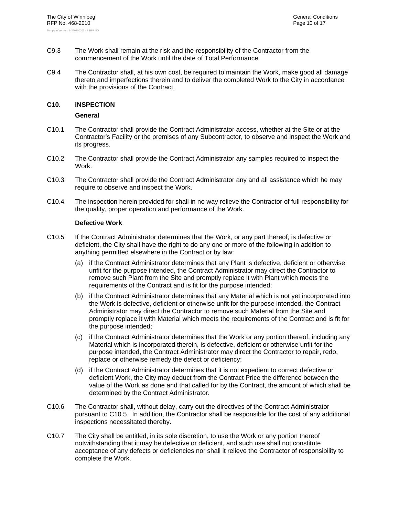- C9.3 The Work shall remain at the risk and the responsibility of the Contractor from the commencement of the Work until the date of Total Performance.
- C9.4 The Contractor shall, at his own cost, be required to maintain the Work, make good all damage thereto and imperfections therein and to deliver the completed Work to the City in accordance with the provisions of the Contract.

# **C10. INSPECTION**

# **General**

- C10.1 The Contractor shall provide the Contract Administrator access, whether at the Site or at the Contractor's Facility or the premises of any Subcontractor, to observe and inspect the Work and its progress.
- C10.2 The Contractor shall provide the Contract Administrator any samples required to inspect the Work.
- C10.3 The Contractor shall provide the Contract Administrator any and all assistance which he may require to observe and inspect the Work.
- C10.4 The inspection herein provided for shall in no way relieve the Contractor of full responsibility for the quality, proper operation and performance of the Work.

# **Defective Work**

- C10.5 If the Contract Administrator determines that the Work, or any part thereof, is defective or deficient, the City shall have the right to do any one or more of the following in addition to anything permitted elsewhere in the Contract or by law:
	- (a) if the Contract Administrator determines that any Plant is defective, deficient or otherwise unfit for the purpose intended, the Contract Administrator may direct the Contractor to remove such Plant from the Site and promptly replace it with Plant which meets the requirements of the Contract and is fit for the purpose intended;
	- (b) if the Contract Administrator determines that any Material which is not yet incorporated into the Work is defective, deficient or otherwise unfit for the purpose intended, the Contract Administrator may direct the Contractor to remove such Material from the Site and promptly replace it with Material which meets the requirements of the Contract and is fit for the purpose intended;
	- (c) if the Contract Administrator determines that the Work or any portion thereof, including any Material which is incorporated therein, is defective, deficient or otherwise unfit for the purpose intended, the Contract Administrator may direct the Contractor to repair, redo, replace or otherwise remedy the defect or deficiency;
	- (d) if the Contract Administrator determines that it is not expedient to correct defective or deficient Work, the City may deduct from the Contract Price the difference between the value of the Work as done and that called for by the Contract, the amount of which shall be determined by the Contract Administrator.
- C10.6 The Contractor shall, without delay, carry out the directives of the Contract Administrator pursuant to C10.5. In addition, the Contractor shall be responsible for the cost of any additional inspections necessitated thereby.
- C10.7 The City shall be entitled, in its sole discretion, to use the Work or any portion thereof notwithstanding that it may be defective or deficient, and such use shall not constitute acceptance of any defects or deficiencies nor shall it relieve the Contractor of responsibility to complete the Work.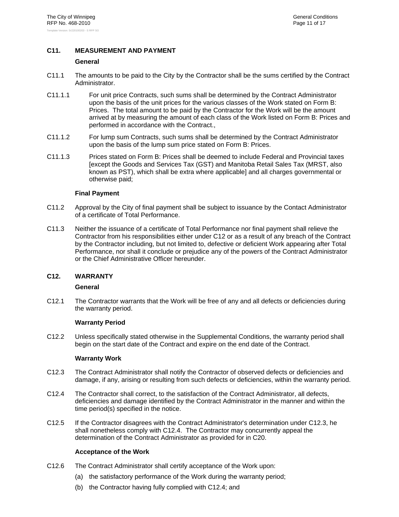# **C11. MEASUREMENT AND PAYMENT**

#### **General**

- C11.1 The amounts to be paid to the City by the Contractor shall be the sums certified by the Contract Administrator.
- C11.1.1 For unit price Contracts, such sums shall be determined by the Contract Administrator upon the basis of the unit prices for the various classes of the Work stated on Form B: Prices. The total amount to be paid by the Contractor for the Work will be the amount arrived at by measuring the amount of each class of the Work listed on Form B: Prices and performed in accordance with the Contract.,
- C11.1.2 For lump sum Contracts, such sums shall be determined by the Contract Administrator upon the basis of the lump sum price stated on Form B: Prices.
- C11.1.3 Prices stated on Form B: Prices shall be deemed to include Federal and Provincial taxes [except the Goods and Services Tax (GST) and Manitoba Retail Sales Tax (MRST, also known as PST), which shall be extra where applicable] and all charges governmental or otherwise paid;

# **Final Payment**

- C11.2 Approval by the City of final payment shall be subject to issuance by the Contact Administrator of a certificate of Total Performance.
- C11.3 Neither the issuance of a certificate of Total Performance nor final payment shall relieve the Contractor from his responsibilities either under C12 or as a result of any breach of the Contract by the Contractor including, but not limited to, defective or deficient Work appearing after Total Performance, nor shall it conclude or prejudice any of the powers of the Contract Administrator or the Chief Administrative Officer hereunder.

# **C12. WARRANTY**

# **General**

C12.1 The Contractor warrants that the Work will be free of any and all defects or deficiencies during the warranty period.

# **Warranty Period**

C12.2 Unless specifically stated otherwise in the Supplemental Conditions, the warranty period shall begin on the start date of the Contract and expire on the end date of the Contract.

# **Warranty Work**

- C12.3 The Contract Administrator shall notify the Contractor of observed defects or deficiencies and damage, if any, arising or resulting from such defects or deficiencies, within the warranty period.
- C12.4 The Contractor shall correct, to the satisfaction of the Contract Administrator, all defects, deficiencies and damage identified by the Contract Administrator in the manner and within the time period(s) specified in the notice.
- C12.5 If the Contractor disagrees with the Contract Administrator's determination under C12.3, he shall nonetheless comply with C12.4. The Contractor may concurrently appeal the determination of the Contract Administrator as provided for in C20.

# **Acceptance of the Work**

- C12.6 The Contract Administrator shall certify acceptance of the Work upon:
	- (a) the satisfactory performance of the Work during the warranty period;
	- (b) the Contractor having fully complied with C12.4; and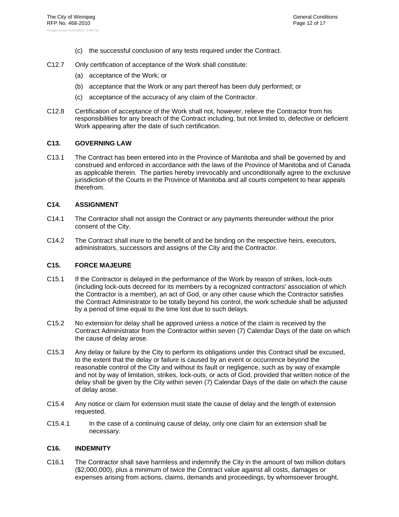- (c) the successful conclusion of any tests required under the Contract.
- C12.7 Only certification of acceptance of the Work shall constitute:
	- (a) acceptance of the Work; or
	- (b) acceptance that the Work or any part thereof has been duly performed; or
	- (c) acceptance of the accuracy of any claim of the Contractor.
- C12.8 Certification of acceptance of the Work shall not, however, relieve the Contractor from his responsibilities for any breach of the Contract including, but not limited to, defective or deficient Work appearing after the date of such certification.

# **C13. GOVERNING LAW**

C13.1 The Contract has been entered into in the Province of Manitoba and shall be governed by and construed and enforced in accordance with the laws of the Province of Manitoba and of Canada as applicable therein. The parties hereby irrevocably and unconditionally agree to the exclusive jurisdiction of the Courts in the Province of Manitoba and all courts competent to hear appeals therefrom.

# **C14. ASSIGNMENT**

- C14.1 The Contractor shall not assign the Contract or any payments thereunder without the prior consent of the City.
- C14.2 The Contract shall inure to the benefit of and be binding on the respective heirs, executors, administrators, successors and assigns of the City and the Contractor.

# **C15. FORCE MAJEURE**

- C15.1 If the Contractor is delayed in the performance of the Work by reason of strikes, lock-outs (including lock-outs decreed for its members by a recognized contractors' association of which the Contractor is a member), an act of God, or any other cause which the Contractor satisfies the Contract Administrator to be totally beyond his control, the work schedule shall be adjusted by a period of time equal to the time lost due to such delays.
- C15.2 No extension for delay shall be approved unless a notice of the claim is received by the Contract Administrator from the Contractor within seven (7) Calendar Days of the date on which the cause of delay arose.
- C15.3 Any delay or failure by the City to perform its obligations under this Contract shall be excused, to the extent that the delay or failure is caused by an event or occurrence beyond the reasonable control of the City and without its fault or negligence, such as by way of example and not by way of limitation, strikes, lock-outs, or acts of God, provided that written notice of the delay shall be given by the City within seven (7) Calendar Days of the date on which the cause of delay arose.
- C15.4 Any notice or claim for extension must state the cause of delay and the length of extension requested.
- C15.4.1 In the case of a continuing cause of delay, only one claim for an extension shall be necessary.

# **C16. INDEMNITY**

C16.1 The Contractor shall save harmless and indemnify the City in the amount of two million dollars (\$2,000,000), plus a minimum of twice the Contract value against all costs, damages or expenses arising from actions, claims, demands and proceedings, by whomsoever brought,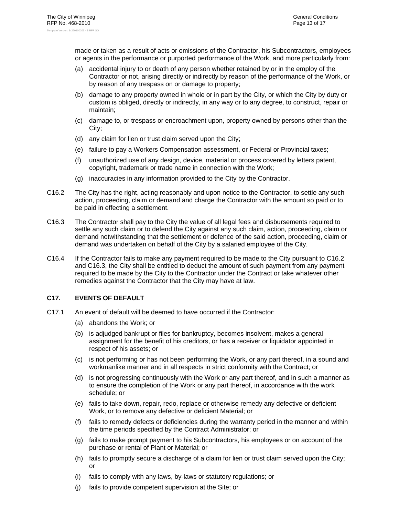made or taken as a result of acts or omissions of the Contractor, his Subcontractors, employees or agents in the performance or purported performance of the Work, and more particularly from:

- (a) accidental injury to or death of any person whether retained by or in the employ of the Contractor or not, arising directly or indirectly by reason of the performance of the Work, or by reason of any trespass on or damage to property;
- (b) damage to any property owned in whole or in part by the City, or which the City by duty or custom is obliged, directly or indirectly, in any way or to any degree, to construct, repair or maintain;
- (c) damage to, or trespass or encroachment upon, property owned by persons other than the City;
- (d) any claim for lien or trust claim served upon the City;
- (e) failure to pay a Workers Compensation assessment, or Federal or Provincial taxes;
- (f) unauthorized use of any design, device, material or process covered by letters patent, copyright, trademark or trade name in connection with the Work;
- (g) inaccuracies in any information provided to the City by the Contractor.
- C16.2 The City has the right, acting reasonably and upon notice to the Contractor, to settle any such action, proceeding, claim or demand and charge the Contractor with the amount so paid or to be paid in effecting a settlement.
- C16.3 The Contractor shall pay to the City the value of all legal fees and disbursements required to settle any such claim or to defend the City against any such claim, action, proceeding, claim or demand notwithstanding that the settlement or defence of the said action, proceeding, claim or demand was undertaken on behalf of the City by a salaried employee of the City.
- C16.4 If the Contractor fails to make any payment required to be made to the City pursuant to C16.2 and C16.3, the City shall be entitled to deduct the amount of such payment from any payment required to be made by the City to the Contractor under the Contract or take whatever other remedies against the Contractor that the City may have at law.

# **C17. EVENTS OF DEFAULT**

- C17.1 An event of default will be deemed to have occurred if the Contractor:
	- (a) abandons the Work; or
	- (b) is adjudged bankrupt or files for bankruptcy, becomes insolvent, makes a general assignment for the benefit of his creditors, or has a receiver or liquidator appointed in respect of his assets; or
	- (c) is not performing or has not been performing the Work, or any part thereof, in a sound and workmanlike manner and in all respects in strict conformity with the Contract; or
	- (d) is not progressing continuously with the Work or any part thereof, and in such a manner as to ensure the completion of the Work or any part thereof, in accordance with the work schedule; or
	- (e) fails to take down, repair, redo, replace or otherwise remedy any defective or deficient Work, or to remove any defective or deficient Material; or
	- (f) fails to remedy defects or deficiencies during the warranty period in the manner and within the time periods specified by the Contract Administrator; or
	- (g) fails to make prompt payment to his Subcontractors, his employees or on account of the purchase or rental of Plant or Material; or
	- (h) fails to promptly secure a discharge of a claim for lien or trust claim served upon the City; or
	- (i) fails to comply with any laws, by-laws or statutory regulations; or
	- (j) fails to provide competent supervision at the Site; or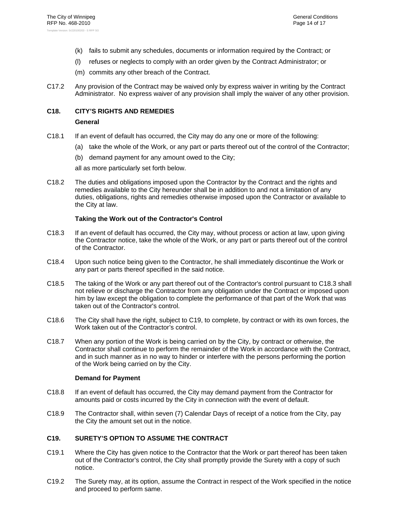- (k) fails to submit any schedules, documents or information required by the Contract; or
- (l) refuses or neglects to comply with an order given by the Contract Administrator; or
- (m) commits any other breach of the Contract.
- C17.2 Any provision of the Contract may be waived only by express waiver in writing by the Contract Administrator. No express waiver of any provision shall imply the waiver of any other provision.

# **C18. CITY'S RIGHTS AND REMEDIES**

# **General**

- C18.1 If an event of default has occurred, the City may do any one or more of the following:
	- (a) take the whole of the Work, or any part or parts thereof out of the control of the Contractor;
	- (b) demand payment for any amount owed to the City;

all as more particularly set forth below.

C18.2 The duties and obligations imposed upon the Contractor by the Contract and the rights and remedies available to the City hereunder shall be in addition to and not a limitation of any duties, obligations, rights and remedies otherwise imposed upon the Contractor or available to the City at law.

# **Taking the Work out of the Contractor's Control**

- C18.3 If an event of default has occurred, the City may, without process or action at law, upon giving the Contractor notice, take the whole of the Work, or any part or parts thereof out of the control of the Contractor.
- C18.4 Upon such notice being given to the Contractor, he shall immediately discontinue the Work or any part or parts thereof specified in the said notice.
- C18.5 The taking of the Work or any part thereof out of the Contractor's control pursuant to C18.3 shall not relieve or discharge the Contractor from any obligation under the Contract or imposed upon him by law except the obligation to complete the performance of that part of the Work that was taken out of the Contractor's control.
- C18.6 The City shall have the right, subject to C19, to complete, by contract or with its own forces, the Work taken out of the Contractor's control.
- C18.7 When any portion of the Work is being carried on by the City, by contract or otherwise, the Contractor shall continue to perform the remainder of the Work in accordance with the Contract, and in such manner as in no way to hinder or interfere with the persons performing the portion of the Work being carried on by the City.

# **Demand for Payment**

- C18.8 If an event of default has occurred, the City may demand payment from the Contractor for amounts paid or costs incurred by the City in connection with the event of default.
- C18.9 The Contractor shall, within seven (7) Calendar Days of receipt of a notice from the City, pay the City the amount set out in the notice.

# **C19. SURETY'S OPTION TO ASSUME THE CONTRACT**

- C19.1 Where the City has given notice to the Contractor that the Work or part thereof has been taken out of the Contractor's control, the City shall promptly provide the Surety with a copy of such notice.
- C19.2 The Surety may, at its option, assume the Contract in respect of the Work specified in the notice and proceed to perform same.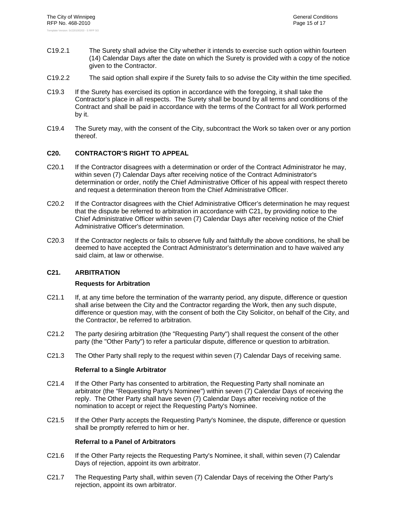- C19.2.1 The Surety shall advise the City whether it intends to exercise such option within fourteen (14) Calendar Days after the date on which the Surety is provided with a copy of the notice given to the Contractor.
- C19.2.2 The said option shall expire if the Surety fails to so advise the City within the time specified.
- C19.3 If the Surety has exercised its option in accordance with the foregoing, it shall take the Contractor's place in all respects. The Surety shall be bound by all terms and conditions of the Contract and shall be paid in accordance with the terms of the Contract for all Work performed by it.
- C19.4 The Surety may, with the consent of the City, subcontract the Work so taken over or any portion thereof.

# **C20. CONTRACTOR'S RIGHT TO APPEAL**

- C20.1 If the Contractor disagrees with a determination or order of the Contract Administrator he may, within seven (7) Calendar Days after receiving notice of the Contract Administrator's determination or order, notify the Chief Administrative Officer of his appeal with respect thereto and request a determination thereon from the Chief Administrative Officer.
- C20.2 If the Contractor disagrees with the Chief Administrative Officer's determination he may request that the dispute be referred to arbitration in accordance with C21, by providing notice to the Chief Administrative Officer within seven (7) Calendar Days after receiving notice of the Chief Administrative Officer's determination.
- C20.3 If the Contractor neglects or fails to observe fully and faithfully the above conditions, he shall be deemed to have accepted the Contract Administrator's determination and to have waived any said claim, at law or otherwise.

# **C21. ARBITRATION**

# **Requests for Arbitration**

- C21.1 If, at any time before the termination of the warranty period, any dispute, difference or question shall arise between the City and the Contractor regarding the Work, then any such dispute, difference or question may, with the consent of both the City Solicitor, on behalf of the City, and the Contractor, be referred to arbitration.
- C21.2 The party desiring arbitration (the "Requesting Party") shall request the consent of the other party (the "Other Party") to refer a particular dispute, difference or question to arbitration.
- C21.3 The Other Party shall reply to the request within seven (7) Calendar Days of receiving same.

# **Referral to a Single Arbitrator**

- C21.4 If the Other Party has consented to arbitration, the Requesting Party shall nominate an arbitrator (the "Requesting Party's Nominee") within seven (7) Calendar Days of receiving the reply. The Other Party shall have seven (7) Calendar Days after receiving notice of the nomination to accept or reject the Requesting Party's Nominee.
- C21.5 If the Other Party accepts the Requesting Party's Nominee, the dispute, difference or question shall be promptly referred to him or her.

# **Referral to a Panel of Arbitrators**

- C21.6 If the Other Party rejects the Requesting Party's Nominee, it shall, within seven (7) Calendar Days of rejection, appoint its own arbitrator.
- C21.7 The Requesting Party shall, within seven (7) Calendar Days of receiving the Other Party's rejection, appoint its own arbitrator.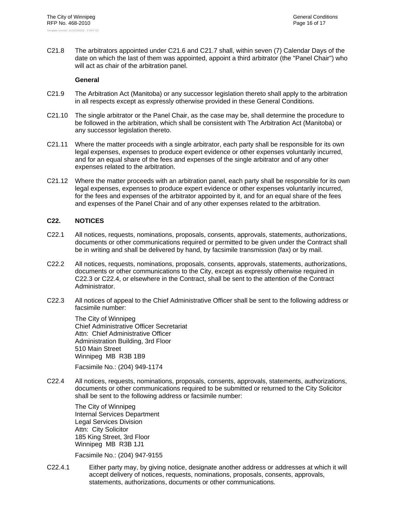C21.8 The arbitrators appointed under C21.6 and C21.7 shall, within seven (7) Calendar Days of the date on which the last of them was appointed, appoint a third arbitrator (the "Panel Chair") who will act as chair of the arbitration panel.

# **General**

- C21.9 The Arbitration Act (Manitoba) or any successor legislation thereto shall apply to the arbitration in all respects except as expressly otherwise provided in these General Conditions.
- C21.10 The single arbitrator or the Panel Chair, as the case may be, shall determine the procedure to be followed in the arbitration, which shall be consistent with The Arbitration Act (Manitoba) or any successor legislation thereto.
- C21.11 Where the matter proceeds with a single arbitrator, each party shall be responsible for its own legal expenses, expenses to produce expert evidence or other expenses voluntarily incurred, and for an equal share of the fees and expenses of the single arbitrator and of any other expenses related to the arbitration.
- C21.12 Where the matter proceeds with an arbitration panel, each party shall be responsible for its own legal expenses, expenses to produce expert evidence or other expenses voluntarily incurred, for the fees and expenses of the arbitrator appointed by it, and for an equal share of the fees and expenses of the Panel Chair and of any other expenses related to the arbitration.

# **C22. NOTICES**

- C22.1 All notices, requests, nominations, proposals, consents, approvals, statements, authorizations, documents or other communications required or permitted to be given under the Contract shall be in writing and shall be delivered by hand, by facsimile transmission (fax) or by mail.
- C22.2 All notices, requests, nominations, proposals, consents, approvals, statements, authorizations, documents or other communications to the City, except as expressly otherwise required in C22.3 or C22.4, or elsewhere in the Contract, shall be sent to the attention of the Contract Administrator.
- C22.3 All notices of appeal to the Chief Administrative Officer shall be sent to the following address or facsimile number:

The City of Winnipeg Chief Administrative Officer Secretariat Attn: Chief Administrative Officer Administration Building, 3rd Floor 510 Main Street Winnipeg MB R3B 1B9

Facsimile No.: (204) 949-1174

C22.4 All notices, requests, nominations, proposals, consents, approvals, statements, authorizations, documents or other communications required to be submitted or returned to the City Solicitor shall be sent to the following address or facsimile number:

The City of Winnipeg Internal Services Department Legal Services Division Attn: City Solicitor 185 King Street, 3rd Floor Winnipeg MB R3B 1J1

Facsimile No.: (204) 947-9155

C22.4.1 Either party may, by giving notice, designate another address or addresses at which it will accept delivery of notices, requests, nominations, proposals, consents, approvals, statements, authorizations, documents or other communications.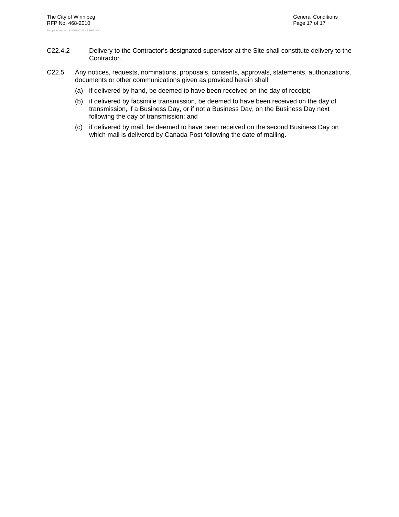- C22.4.2 Delivery to the Contractor's designated supervisor at the Site shall constitute delivery to the Contractor.
- C22.5 Any notices, requests, nominations, proposals, consents, approvals, statements, authorizations, documents or other communications given as provided herein shall:
	- (a) if delivered by hand, be deemed to have been received on the day of receipt;
	- (b) if delivered by facsimile transmission, be deemed to have been received on the day of transmission, if a Business Day, or if not a Business Day, on the Business Day next following the day of transmission; and
	- (c) if delivered by mail, be deemed to have been received on the second Business Day on which mail is delivered by Canada Post following the date of mailing.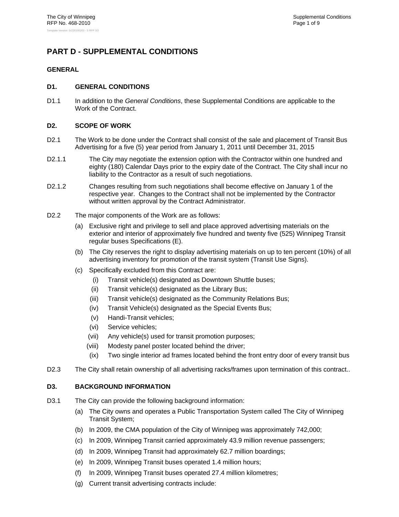# **PART D - SUPPLEMENTAL CONDITIONS**

# **GENERAL**

# **D1. GENERAL CONDITIONS**

D1.1 In addition to the *General Conditions*, these Supplemental Conditions are applicable to the Work of the Contract.

# **D2. SCOPE OF WORK**

- D2.1 The Work to be done under the Contract shall consist of the sale and placement of Transit Bus Advertising for a five (5) year period from January 1, 2011 until December 31, 2015
- D2.1.1 The City may negotiate the extension option with the Contractor within one hundred and eighty (180) Calendar Days prior to the expiry date of the Contract. The City shall incur no liability to the Contractor as a result of such negotiations.
- D2.1.2 Changes resulting from such negotiations shall become effective on January 1 of the respective year. Changes to the Contract shall not be implemented by the Contractor without written approval by the Contract Administrator.
- D2.2 The major components of the Work are as follows:
	- (a) Exclusive right and privilege to sell and place approved advertising materials on the exterior and interior of approximately five hundred and twenty five (525) Winnipeg Transit regular buses Specifications (E).
	- (b) The City reserves the right to display advertising materials on up to ten percent (10%) of all advertising inventory for promotion of the transit system (Transit Use Signs).
	- (c) Specifically excluded from this Contract are:
		- (i) Transit vehicle(s) designated as Downtown Shuttle buses;
		- (ii) Transit vehicle(s) designated as the Library Bus;
		- (iii) Transit vehicle(s) designated as the Community Relations Bus;
		- (iv) Transit Vehicle(s) designated as the Special Events Bus;
		- (v) Handi-Transit vehicles;
		- (vi) Service vehicles;
		- (vii) Any vehicle(s) used for transit promotion purposes;
		- (viii) Modesty panel poster located behind the driver;
		- (ix) Two single interior ad frames located behind the front entry door of every transit bus
- D2.3 The City shall retain ownership of all advertising racks/frames upon termination of this contract..

# **D3. BACKGROUND INFORMATION**

- D3.1 The City can provide the following background information:
	- (a) The City owns and operates a Public Transportation System called The City of Winnipeg Transit System;
	- (b) In 2009, the CMA population of the City of Winnipeg was approximately 742,000;
	- (c) In 2009, Winnipeg Transit carried approximately 43.9 million revenue passengers;
	- (d) In 2009, Winnipeg Transit had approximately 62.7 million boardings;
	- (e) In 2009, Winnipeg Transit buses operated 1.4 million hours;
	- (f) In 2009, Winnipeg Transit buses operated 27.4 million kilometres;
	- (g) Current transit advertising contracts include: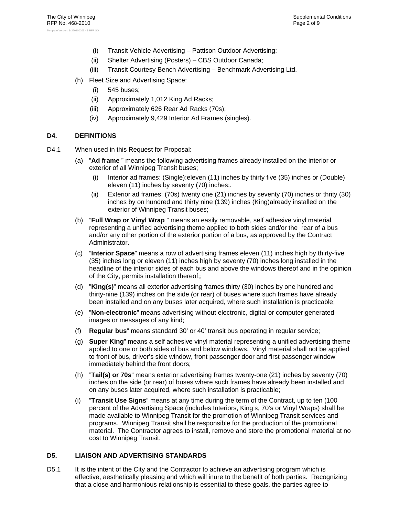- (i) Transit Vehicle Advertising Pattison Outdoor Advertising;
- (ii) Shelter Advertising (Posters) CBS Outdoor Canada;
- (iii) Transit Courtesy Bench Advertising Benchmark Advertising Ltd.
- (h) Fleet Size and Advertising Space:
	- (i) 545 buses;
	- (ii) Approximately 1,012 King Ad Racks;
	- (iii) Approximately 626 Rear Ad Racks (70s);
	- (iv) Approximately 9,429 Interior Ad Frames (singles).

# **D4. DEFINITIONS**

- D4.1 When used in this Request for Proposal:
	- (a) "**Ad frame** " means the following advertising frames already installed on the interior or exterior of all Winnipeg Transit buses;
		- (i) Interior ad frames: (Single):eleven (11) inches by thirty five (35) inches or (Double) eleven (11) inches by seventy (70) inches;.
		- (ii) Exterior ad frames: (70s) twenty one (21) inches by seventy (70) inches or thrity (30) inches by on hundred and thirty nine (139) inches (King)already installed on the exterior of Winnipeg Transit buses;
	- (b) "**Full Wrap or Vinyl Wrap** " means an easily removable, self adhesive vinyl material representing a unified advertising theme applied to both sides and/or the rear of a bus and/or any other portion of the exterior portion of a bus, as approved by the Contract Administrator.
	- (c) "**Interior Space**" means a row of advertising frames eleven (11) inches high by thirty-five (35) inches long or eleven (11) inches high by seventy (70) inches long installed in the headline of the interior sides of each bus and above the windows thereof and in the opinion of the City, permits installation thereof;;
	- (d) "**King(s)**" means all exterior advertising frames thirty (30) inches by one hundred and thirty-nine (139) inches on the side (or rear) of buses where such frames have already been installed and on any buses later acquired, where such installation is practicable;
	- (e) "**Non-electronic**" means advertising without electronic, digital or computer generated images or messages of any kind;
	- (f) **Regular bus**" means standard 30' or 40' transit bus operating in regular service;
	- (g) **Super King**" means a self adhesive vinyl material representing a unified advertising theme applied to one or both sides of bus and below windows. Vinyl material shall not be applied to front of bus, driver's side window, front passenger door and first passenger window immediately behind the front doors;
	- (h) "**Tail(s) or 70s**" means exterior advertising frames twenty-one (21) inches by seventy (70) inches on the side (or rear) of buses where such frames have already been installed and on any buses later acquired, where such installation is practicable;
	- (i) "**Transit Use Signs**" means at any time during the term of the Contract, up to ten (100 percent of the Advertising Space (includes Interiors, King's, 70's or Vinyl Wraps) shall be made available to Winnipeg Transit for the promotion of Winnipeg Transit services and programs. Winnipeg Transit shall be responsible for the production of the promotional material. The Contractor agrees to install, remove and store the promotional material at no cost to Winnipeg Transit.

# **D5. LIAISON AND ADVERTISING STANDARDS**

D5.1 It is the intent of the City and the Contractor to achieve an advertising program which is effective, aesthetically pleasing and which will inure to the benefit of both parties. Recognizing that a close and harmonious relationship is essential to these goals, the parties agree to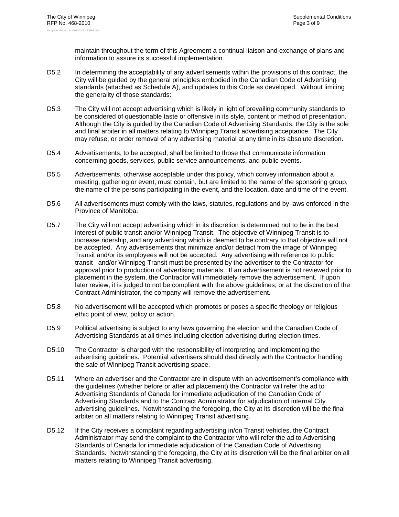maintain throughout the term of this Agreement a continual liaison and exchange of plans and information to assure its successful implementation.

- D5.2 In determining the acceptability of any advertisements within the provisions of this contract, the City will be guided by the general principles embodied in the Canadian Code of Advertising standards (attached as Schedule A), and updates to this Code as developed. Without limiting the generality of those standards:
- D5.3 The City will not accept advertising which is likely in light of prevailing community standards to be considered of questionable taste or offensive in its style, content or method of presentation. Although the City is guided by the Canadian Code of Advertising Standards, the City is the sole and final arbiter in all matters relating to Winnipeg Transit advertising acceptance. The City may refuse, or order removal of any advertising material at any time in its absolute discretion.
- D5.4 Advertisements, to be accepted, shall be limited to those that communicate information concerning goods, services, public service announcements, and public events.
- D5.5 Advertisements, otherwise acceptable under this policy, which convey information about a meeting, gathering or event, must contain, but are limited to the name of the sponsoring group, the name of the persons participating in the event, and the location, date and time of the event.
- D5.6 All advertisements must comply with the laws, statutes, regulations and by-laws enforced in the Province of Manitoba.
- D5.7 The City will not accept advertising which in its discretion is determined not to be in the best interest of public transit and/or Winnipeg Transit. The objective of Winnipeg Transit is to increase ridership, and any advertising which is deemed to be contrary to that objective will not be accepted. Any advertisements that minimize and/or detract from the image of Winnipeg Transit and/or its employees will not be accepted. Any advertising with reference to public transit and/or Winnipeg Transit must be presented by the advertiser to the Contractor for approval prior to production of advertising materials. If an advertisement is not reviewed prior to placement in the system, the Contractor will immediately remove the advertisement. If upon later review, it is judged to not be compliant with the above guidelines, or at the discretion of the Contract Administrator, the company will remove the advertisement.
- D5.8 No advertisement will be accepted which promotes or poses a specific theology or religious ethic point of view, policy or action.
- D5.9 Political advertising is subject to any laws governing the election and the Canadian Code of Advertising Standards at all times including election advertising during election times.
- D5.10 The Contractor is charged with the responsibility of interpreting and implementing the advertising guidelines. Potential advertisers should deal directly with the Contractor handling the sale of Winnipeg Transit advertising space.
- D5.11 Where an advertiser and the Contractor are in dispute with an advertisement's compliance with the guidelines (whether before or after ad placement) the Contractor will refer the ad to Advertising Standards of Canada for immediate adjudication of the Canadian Code of Advertising Standards and to the Contract Administrator for adjudication of internal City advertising guidelines. Notwithstanding the foregoing, the City at its discretion will be the final arbiter on all matters relating to Winnipeg Transit advertising.
- D5.12 If the City receives a complaint regarding advertising in/on Transit vehicles, the Contract Administrator may send the complaint to the Contractor who will refer the ad to Advertising Standards of Canada for immediate adjudication of the Canadian Code of Advertising Standards. Notwithstanding the foregoing, the City at its discretion will be the final arbiter on all matters relating to Winnipeg Transit advertising.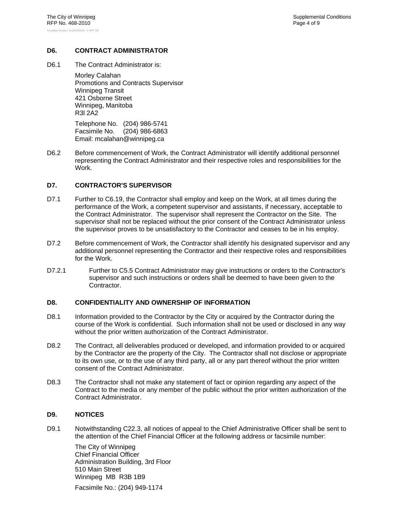# **D6. CONTRACT ADMINISTRATOR**

D6.1 The Contract Administrator is:

Morley Calahan Promotions and Contracts Supervisor Winnipeg Transit 421 Osborne Street Winnipeg, Manitoba R3l 2A2

Telephone No. (204) 986-5741 Facsimile No. (204) 986-6863 Email: mcalahan@winnipeg.ca

D6.2 Before commencement of Work, the Contract Administrator will identify additional personnel representing the Contract Administrator and their respective roles and responsibilities for the Work.

# **D7. CONTRACTOR'S SUPERVISOR**

- D7.1 Further to C6.19, the Contractor shall employ and keep on the Work, at all times during the performance of the Work, a competent supervisor and assistants, if necessary, acceptable to the Contract Administrator. The supervisor shall represent the Contractor on the Site. The supervisor shall not be replaced without the prior consent of the Contract Administrator unless the supervisor proves to be unsatisfactory to the Contractor and ceases to be in his employ.
- D7.2 Before commencement of Work, the Contractor shall identify his designated supervisor and any additional personnel representing the Contractor and their respective roles and responsibilities for the Work.
- D7.2.1 Further to C5.5 Contract Administrator may give instructions or orders to the Contractor's supervisor and such instructions or orders shall be deemed to have been given to the Contractor.

# **D8. CONFIDENTIALITY AND OWNERSHIP OF INFORMATION**

- D8.1 Information provided to the Contractor by the City or acquired by the Contractor during the course of the Work is confidential. Such information shall not be used or disclosed in any way without the prior written authorization of the Contract Administrator.
- D8.2 The Contract, all deliverables produced or developed, and information provided to or acquired by the Contractor are the property of the City. The Contractor shall not disclose or appropriate to its own use, or to the use of any third party, all or any part thereof without the prior written consent of the Contract Administrator.
- D8.3 The Contractor shall not make any statement of fact or opinion regarding any aspect of the Contract to the media or any member of the public without the prior written authorization of the Contract Administrator.

# **D9. NOTICES**

D9.1 Notwithstanding C22.3, all notices of appeal to the Chief Administrative Officer shall be sent to the attention of the Chief Financial Officer at the following address or facsimile number:

The City of Winnipeg Chief Financial Officer Administration Building, 3rd Floor 510 Main Street Winnipeg MB R3B 1B9 Facsimile No.: (204) 949-1174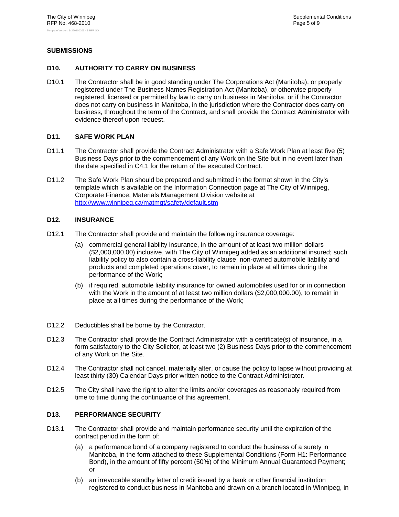# **SUBMISSIONS**

# **D10. AUTHORITY TO CARRY ON BUSINESS**

D10.1 The Contractor shall be in good standing under The Corporations Act (Manitoba), or properly registered under The Business Names Registration Act (Manitoba), or otherwise properly registered, licensed or permitted by law to carry on business in Manitoba, or if the Contractor does not carry on business in Manitoba, in the jurisdiction where the Contractor does carry on business, throughout the term of the Contract, and shall provide the Contract Administrator with evidence thereof upon request.

# **D11. SAFE WORK PLAN**

- D11.1 The Contractor shall provide the Contract Administrator with a Safe Work Plan at least five (5) Business Days prior to the commencement of any Work on the Site but in no event later than the date specified in C4.1 for the return of the executed Contract.
- D11.2 The Safe Work Plan should be prepared and submitted in the format shown in the City's template which is available on the Information Connection page at The City of Winnipeg, Corporate Finance, Materials Management Division website at http://www.winnipeg.ca/matmgt/safety/default.stm

# **D12. INSURANCE**

- D12.1 The Contractor shall provide and maintain the following insurance coverage:
	- (a) commercial general liability insurance, in the amount of at least two million dollars (\$2,000,000.00) inclusive, with The City of Winnipeg added as an additional insured; such liability policy to also contain a cross-liability clause, non-owned automobile liability and products and completed operations cover, to remain in place at all times during the performance of the Work;
	- (b) if required, automobile liability insurance for owned automobiles used for or in connection with the Work in the amount of at least two million dollars (\$2,000,000.00), to remain in place at all times during the performance of the Work;
- D12.2 Deductibles shall be borne by the Contractor.
- D12.3 The Contractor shall provide the Contract Administrator with a certificate(s) of insurance, in a form satisfactory to the City Solicitor, at least two (2) Business Days prior to the commencement of any Work on the Site.
- D12.4 The Contractor shall not cancel, materially alter, or cause the policy to lapse without providing at least thirty (30) Calendar Days prior written notice to the Contract Administrator.
- D12.5 The City shall have the right to alter the limits and/or coverages as reasonably required from time to time during the continuance of this agreement.

# **D13. PERFORMANCE SECURITY**

- D13.1 The Contractor shall provide and maintain performance security until the expiration of the contract period in the form of:
	- (a) a performance bond of a company registered to conduct the business of a surety in Manitoba, in the form attached to these Supplemental Conditions (Form H1: Performance Bond), in the amount of fifty percent (50%) of the Minimum Annual Guaranteed Payment; or
	- (b) an irrevocable standby letter of credit issued by a bank or other financial institution registered to conduct business in Manitoba and drawn on a branch located in Winnipeg, in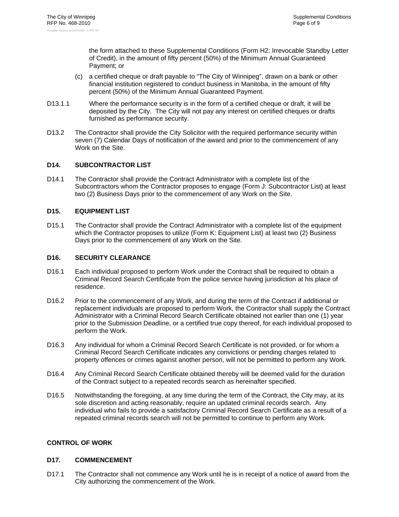the form attached to these Supplemental Conditions (Form H2: Irrevocable Standby Letter of Credit), in the amount of fifty percent (50%) of the Minimum Annual Guaranteed Payment; or

- (c) a certified cheque or draft payable to "The City of Winnipeg", drawn on a bank or other financial institution registered to conduct business in Manitoba, in the amount of fifty percent (50%) of the Minimum Annual Guaranteed Payment.
- D13.1.1 Where the performance security is in the form of a certified cheque or draft, it will be deposited by the City. The City will not pay any interest on certified cheques or drafts furnished as performance security.
- D13.2 The Contractor shall provide the City Solicitor with the required performance security within seven (7) Calendar Days of notification of the award and prior to the commencement of any Work on the Site.

# **D14. SUBCONTRACTOR LIST**

D14.1 The Contractor shall provide the Contract Administrator with a complete list of the Subcontractors whom the Contractor proposes to engage (Form J: Subcontractor List) at least two (2) Business Days prior to the commencement of any Work on the Site.

# **D15. EQUIPMENT LIST**

D15.1 The Contractor shall provide the Contract Administrator with a complete list of the equipment which the Contractor proposes to utilize (Form K: Equipment List) at least two (2) Business Days prior to the commencement of any Work on the Site.

# **D16. SECURITY CLEARANCE**

- D16.1 Each individual proposed to perform Work under the Contract shall be required to obtain a Criminal Record Search Certificate from the police service having jurisdiction at his place of residence.
- D16.2 Prior to the commencement of any Work, and during the term of the Contract if additional or replacement individuals are proposed to perform Work, the Contractor shall supply the Contract Administrator with a Criminal Record Search Certificate obtained not earlier than one (1) year prior to the Submission Deadline, or a certified true copy thereof, for each individual proposed to perform the Work.
- D16.3 Any individual for whom a Criminal Record Search Certificate is not provided, or for whom a Criminal Record Search Certificate indicates any convictions or pending charges related to property offences or crimes against another person, will not be permitted to perform any Work.
- D16.4 Any Criminal Record Search Certificate obtained thereby will be deemed valid for the duration of the Contract subject to a repeated records search as hereinafter specified.
- D16.5 Notwithstanding the foregoing, at any time during the term of the Contract, the City may, at its sole discretion and acting reasonably, require an updated criminal records search. Any individual who fails to provide a satisfactory Criminal Record Search Certificate as a result of a repeated criminal records search will not be permitted to continue to perform any Work.

# **CONTROL OF WORK**

# **D17. COMMENCEMENT**

D17.1 The Contractor shall not commence any Work until he is in receipt of a notice of award from the City authorizing the commencement of the Work.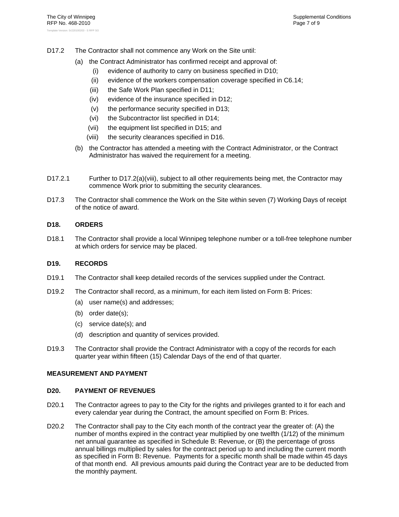- D17.2 The Contractor shall not commence any Work on the Site until:
	- (a) the Contract Administrator has confirmed receipt and approval of:
		- (i) evidence of authority to carry on business specified in D10;
		- (ii) evidence of the workers compensation coverage specified in C6.14;
		- (iii) the Safe Work Plan specified in D11;
		- (iv) evidence of the insurance specified in D12;
		- (v) the performance security specified in D13;
		- (vi) the Subcontractor list specified in D14;
		- (vii) the equipment list specified in D15; and
		- (viii) the security clearances specified in D16.
	- (b) the Contractor has attended a meeting with the Contract Administrator, or the Contract Administrator has waived the requirement for a meeting.
- D17.2.1 Further to D17.2(a)(viii), subject to all other requirements being met, the Contractor may commence Work prior to submitting the security clearances.
- D17.3 The Contractor shall commence the Work on the Site within seven (7) Working Days of receipt of the notice of award.

# **D18. ORDERS**

D18.1 The Contractor shall provide a local Winnipeg telephone number or a toll-free telephone number at which orders for service may be placed.

#### **D19. RECORDS**

- D19.1 The Contractor shall keep detailed records of the services supplied under the Contract.
- D19.2 The Contractor shall record, as a minimum, for each item listed on Form B: Prices:
	- (a) user name(s) and addresses;
	- (b) order date(s);
	- (c) service date(s); and
	- (d) description and quantity of services provided.
- D19.3 The Contractor shall provide the Contract Administrator with a copy of the records for each quarter year within fifteen (15) Calendar Days of the end of that quarter.

# **MEASUREMENT AND PAYMENT**

#### **D20. PAYMENT OF REVENUES**

- D20.1 The Contractor agrees to pay to the City for the rights and privileges granted to it for each and every calendar year during the Contract, the amount specified on Form B: Prices.
- D20.2 The Contractor shall pay to the City each month of the contract year the greater of: (A) the number of months expired in the contract year multiplied by one twelfth (1/12) of the minimum net annual guarantee as specified in Schedule B: Revenue, or (B) the percentage of gross annual billings multiplied by sales for the contract period up to and including the current month as specified in Form B: Revenue. Payments for a specific month shall be made within 45 days of that month end. All previous amounts paid during the Contract year are to be deducted from the monthly payment.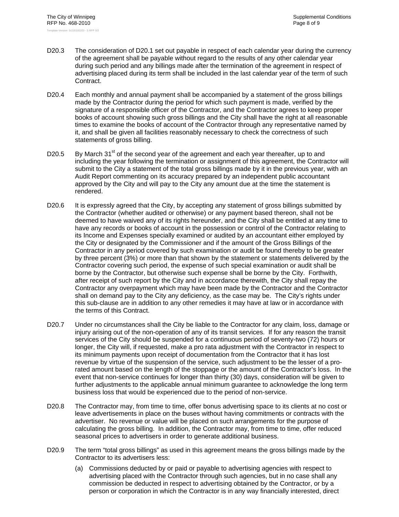- D20.3 The consideration of D20.1 set out payable in respect of each calendar year during the currency of the agreement shall be payable without regard to the results of any other calendar year during such period and any billings made after the termination of the agreement in respect of advertising placed during its term shall be included in the last calendar year of the term of such Contract.
- D20.4 Each monthly and annual payment shall be accompanied by a statement of the gross billings made by the Contractor during the period for which such payment is made, verified by the signature of a responsible officer of the Contractor, and the Contractor agrees to keep proper books of account showing such gross billings and the City shall have the right at all reasonable times to examine the books of account of the Contractor through any representative named by it, and shall be given all facilities reasonably necessary to check the correctness of such statements of gross billing.
- D20.5 By March  $31<sup>st</sup>$  of the second year of the agreement and each year thereafter, up to and including the year following the termination or assignment of this agreement, the Contractor will submit to the City a statement of the total gross billings made by it in the previous year, with an Audit Report commenting on its accuracy prepared by an independent public accountant approved by the City and will pay to the City any amount due at the time the statement is rendered.
- D20.6 It is expressly agreed that the City, by accepting any statement of gross billings submitted by the Contractor (whether audited or otherwise) or any payment based thereon, shall not be deemed to have waived any of its rights hereunder, and the City shall be entitled at any time to have any records or books of account in the possession or control of the Contractor relating to its Income and Expenses specially examined or audited by an accountant either employed by the City or designated by the Commissioner and if the amount of the Gross Billings of the Contractor in any period covered by such examination or audit be found thereby to be greater by three percent (3%) or more than that shown by the statement or statements delivered by the Contractor covering such period, the expense of such special examination or audit shall be borne by the Contractor, but otherwise such expense shall be borne by the City. Forthwith, after receipt of such report by the City and in accordance therewith, the City shall repay the Contractor any overpayment which may have been made by the Contractor and the Contractor shall on demand pay to the City any deficiency, as the case may be. The City's rights under this sub-clause are in addition to any other remedies it may have at law or in accordance with the terms of this Contract.
- D20.7 Under no circumstances shall the City be liable to the Contractor for any claim, loss, damage or injury arising out of the non-operation of any of its transit services. If for any reason the transit services of the City should be suspended for a continuous period of seventy-two (72) hours or longer, the City will, if requested, make a pro rata adjustment with the Contractor in respect to its minimum payments upon receipt of documentation from the Contractor that it has lost revenue by virtue of the suspension of the service, such adjustment to be the lesser of a prorated amount based on the length of the stoppage or the amount of the Contractor's loss. In the event that non-service continues for longer than thirty (30) days, consideration will be given to further adjustments to the applicable annual minimum guarantee to acknowledge the long term business loss that would be experienced due to the period of non-service.
- D20.8 The Contractor may, from time to time, offer bonus advertising space to its clients at no cost or leave advertisements in place on the buses without having commitments or contracts with the advertiser. No revenue or value will be placed on such arrangements for the purpose of calculating the gross billing. In addition, the Contractor may, from time to time, offer reduced seasonal prices to advertisers in order to generate additional business.
- D20.9 The term "total gross billings" as used in this agreement means the gross billings made by the Contractor to its advertisers less:
	- (a) Commissions deducted by or paid or payable to advertising agencies with respect to advertising placed with the Contractor through such agencies, but in no case shall any commission be deducted in respect to advertising obtained by the Contractor, or by a person or corporation in which the Contractor is in any way financially interested, direct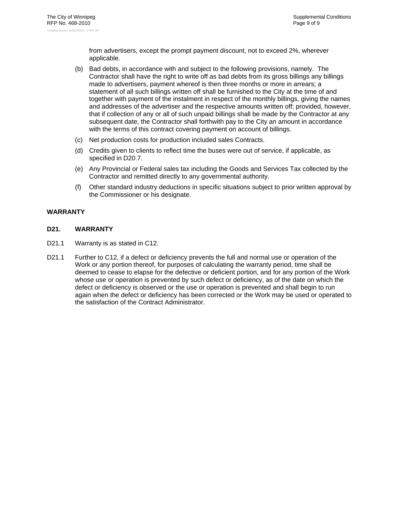from advertisers, except the prompt payment discount, not to exceed 2%, wherever applicable.

- (b) Bad debts, in accordance with and subject to the following provisions, namely. The Contractor shall have the right to write off as bad debts from its gross billings any billings made to advertisers, payment whereof is then three months or more in arrears; a statement of all such billings written off shall be furnished to the City at the time of and together with payment of the instalment in respect of the monthly billings, giving the names and addresses of the advertiser and the respective amounts written off; provided, however, that if collection of any or all of such unpaid billings shall be made by the Contractor at any subsequent date, the Contractor shall forthwith pay to the City an amount in accordance with the terms of this contract covering payment on account of billings.
- (c) Net production costs for production included sales Contracts.
- (d) Credits given to clients to reflect time the buses were out of service, if applicable, as specified in D20.7.
- (e) Any Provincial or Federal sales tax including the Goods and Services Tax collected by the Contractor and remitted directly to any governmental authority.
- (f) Other standard industry deductions in specific situations subject to prior written approval by the Commissioner or his designate.

# **WARRANTY**

# **D21. WARRANTY**

- D21.1 Warranty is as stated in C12.
- D21.1 Further to C12, if a defect or deficiency prevents the full and normal use or operation of the Work or any portion thereof, for purposes of calculating the warranty period, time shall be deemed to cease to elapse for the defective or deficient portion, and for any portion of the Work whose use or operation is prevented by such defect or deficiency, as of the date on which the defect or deficiency is observed or the use or operation is prevented and shall begin to run again when the defect or deficiency has been corrected or the Work may be used or operated to the satisfaction of the Contract Administrator.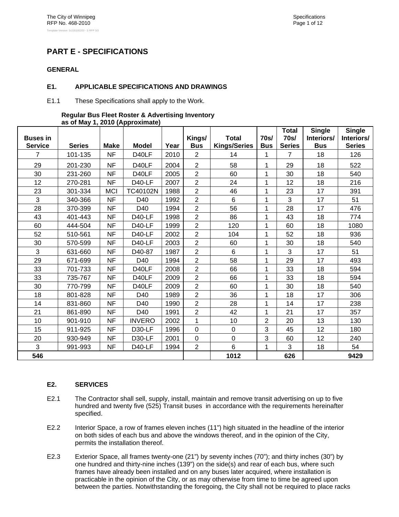# **PART E - SPECIFICATIONS**

# **GENERAL**

# **E1. APPLICABLE SPECIFICATIONS AND DRAWINGS**

E1.1 These Specifications shall apply to the Work.

#### **Regular Bus Fleet Roster & Advertising Inventory as of May 1, 2010 (Approximate)**

|                                   |               |             |               |      |                      |                                     | 70 <sub>S</sub> | <b>Total</b><br>70s/ | <b>Single</b>            | <b>Single</b><br>Interiors/ |
|-----------------------------------|---------------|-------------|---------------|------|----------------------|-------------------------------------|-----------------|----------------------|--------------------------|-----------------------------|
| <b>Buses in</b><br><b>Service</b> | <b>Series</b> | <b>Make</b> | <b>Model</b>  | Year | Kings/<br><b>Bus</b> | <b>Total</b><br><b>Kings/Series</b> | <b>Bus</b>      | <b>Series</b>        | Interiors/<br><b>Bus</b> | <b>Series</b>               |
| $\overline{7}$                    | 101-135       | <b>NF</b>   | D40LF         | 2010 | $\overline{2}$       | 14                                  | 1               | $\overline{7}$       | 18                       | 126                         |
| 29                                | 201-230       | <b>NF</b>   | D40LF         | 2004 | $\overline{2}$       | 58                                  | 1               | 29                   | 18                       | 522                         |
| 30                                | 231-260       | <b>NF</b>   | D40LF         | 2005 | $\overline{2}$       | 60                                  | 1               | 30                   | 18                       | 540                         |
| 12                                | 270-281       | <b>NF</b>   | D40-LF        | 2007 | $\overline{2}$       | 24                                  | 1               | 12                   | 18                       | 216                         |
| 23                                | 301-334       | <b>MCI</b>  | TC40102N      | 1988 | $\overline{2}$       | 46                                  | 1               | 23                   | 17                       | 391                         |
| 3                                 | 340-366       | <b>NF</b>   | D40           | 1992 | $\overline{2}$       | 6                                   | 1               | 3                    | 17                       | 51                          |
| 28                                | 370-399       | <b>NF</b>   | D40           | 1994 | $\overline{2}$       | 56                                  | 1               | 28                   | 17                       | 476                         |
| 43                                | 401-443       | <b>NF</b>   | D40-LF        | 1998 | $\overline{2}$       | 86                                  | 1               | 43                   | 18                       | 774                         |
| 60                                | 444-504       | <b>NF</b>   | <b>D40-LF</b> | 1999 | $\overline{2}$       | 120                                 | 1               | 60                   | 18                       | 1080                        |
| 52                                | 510-561       | <b>NF</b>   | <b>D40-LF</b> | 2002 | $\overline{2}$       | 104                                 | 1               | 52                   | 18                       | 936                         |
| 30                                | 570-599       | <b>NF</b>   | D40-LF        | 2003 | $\overline{2}$       | 60                                  | 1               | 30                   | 18                       | 540                         |
| 3                                 | 631-660       | <b>NF</b>   | D40-87        | 1987 | $\overline{2}$       | 6                                   | 1               | $\overline{3}$       | 17                       | 51                          |
| 29                                | 671-699       | <b>NF</b>   | D40           | 1994 | $\overline{2}$       | 58                                  | 1               | 29                   | 17                       | 493                         |
| 33                                | 701-733       | <b>NF</b>   | D40LF         | 2008 | $\overline{2}$       | 66                                  | 1               | 33                   | 18                       | 594                         |
| 33                                | 735-767       | <b>NF</b>   | D40LF         | 2009 | $\overline{2}$       | 66                                  | 1               | 33                   | 18                       | 594                         |
| 30                                | 770-799       | <b>NF</b>   | D40LF         | 2009 | $\overline{2}$       | 60                                  | 1               | 30                   | 18                       | 540                         |
| 18                                | 801-828       | <b>NF</b>   | D40           | 1989 | $\overline{2}$       | 36                                  | 1               | 18                   | 17                       | 306                         |
| 14                                | 831-860       | <b>NF</b>   | D40           | 1990 | $\overline{2}$       | 28                                  | 1               | 14                   | 17                       | 238                         |
| 21                                | 861-890       | <b>NF</b>   | D40           | 1991 | $\overline{2}$       | 42                                  | 1               | 21                   | 17                       | 357                         |
| 10                                | 901-910       | <b>NF</b>   | <b>INVERO</b> | 2002 | $\overline{1}$       | 10                                  | $\overline{2}$  | 20                   | 13                       | 130                         |
| 15                                | 911-925       | <b>NF</b>   | D30-LF        | 1996 | $\overline{0}$       | $\mathbf 0$                         | 3               | 45                   | 12                       | 180                         |
| 20                                | 930-949       | <b>NF</b>   | D30-LF        | 2001 | $\overline{0}$       | 0                                   | 3               | 60                   | 12                       | 240                         |
| 3                                 | 991-993       | <b>NF</b>   | D40-LF        | 1994 | $\overline{2}$       | 6                                   | 1               | 3                    | 18                       | 54                          |
| 546                               |               |             |               |      |                      | 1012                                |                 | 626                  |                          | 9429                        |

# **E2. SERVICES**

- E2.1 The Contractor shall sell, supply, install, maintain and remove transit advertising on up to five hundred and twenty five (525) Transit buses in accordance with the requirements hereinafter specified.
- E2.2 Interior Space, a row of frames eleven inches (11") high situated in the headline of the interior on both sides of each bus and above the windows thereof, and in the opinion of the City, permits the installation thereof.
- E2.3 Exterior Space, all frames twenty-one (21") by seventy inches (70"); and thirty inches (30") by one hundred and thirty-nine inches (139") on the side(s) and rear of each bus, where such frames have already been installed and on any buses later acquired, where installation is practicable in the opinion of the City, or as may otherwise from time to time be agreed upon between the parties. Notwithstanding the foregoing, the City shall not be required to place racks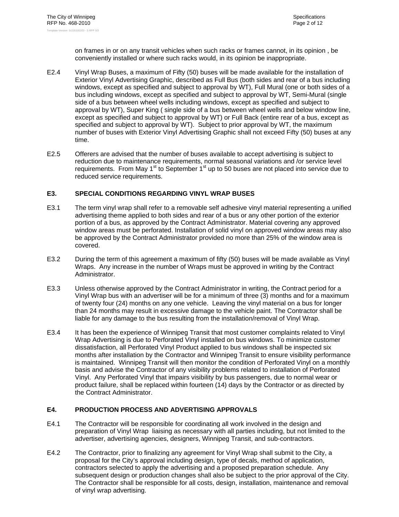on frames in or on any transit vehicles when such racks or frames cannot, in its opinion , be conveniently installed or where such racks would, in its opinion be inappropriate.

- E2.4 Vinyl Wrap Buses, a maximum of Fifty (50) buses will be made available for the installation of Exterior Vinyl Advertising Graphic, described as Full Bus (both sides and rear of a bus including windows, except as specified and subject to approval by WT), Full Mural (one or both sides of a bus including windows, except as specified and subject to approval by WT, Semi-Mural (single side of a bus between wheel wells including windows, except as specified and subject to approval by WT), Super King ( single side of a bus between wheel wells and below window line, except as specified and subject to approval by WT) or Full Back (entire rear of a bus, except as specified and subject to approval by WT). Subject to prior approval by WT, the maximum number of buses with Exterior Vinyl Advertising Graphic shall not exceed Fifty (50) buses at any time.
- E2.5 Offerers are advised that the number of buses available to accept advertising is subject to reduction due to maintenance requirements, normal seasonal variations and /or service level requirements. From May  $1<sup>st</sup>$  to September  $1<sup>st</sup>$  up to 50 buses are not placed into service due to reduced service requirements.

# **E3. SPECIAL CONDITIONS REGARDING VINYL WRAP BUSES**

- E3.1 The term vinyl wrap shall refer to a removable self adhesive vinyl material representing a unified advertising theme applied to both sides and rear of a bus or any other portion of the exterior portion of a bus, as approved by the Contract Administrator. Material covering any approved window areas must be perforated. Installation of solid vinyl on approved window areas may also be approved by the Contract Administrator provided no more than 25% of the window area is covered.
- E3.2 During the term of this agreement a maximum of fifty (50) buses will be made available as Vinyl Wraps. Any increase in the number of Wraps must be approved in writing by the Contract Administrator.
- E3.3 Unless otherwise approved by the Contract Administrator in writing, the Contract period for a Vinyl Wrap bus with an advertiser will be for a minimum of three (3) months and for a maximum of twenty four (24) months on any one vehicle. Leaving the vinyl material on a bus for longer than 24 months may result in excessive damage to the vehicle paint. The Contractor shall be liable for any damage to the bus resulting from the installation/removal of Vinyl Wrap.
- E3.4 It has been the experience of Winnipeg Transit that most customer complaints related to Vinyl Wrap Advertising is due to Perforated Vinyl installed on bus windows. To minimize customer dissatisfaction, all Perforated Vinyl Product applied to bus windows shall be inspected six months after installation by the Contractor and Winnipeg Transit to ensure visibility performance is maintained. Winnipeg Transit will then monitor the condition of Perforated Vinyl on a monthly basis and advise the Contractor of any visibility problems related to installation of Perforated Vinyl. Any Perforated Vinyl that impairs visibility by bus passengers, due to normal wear or product failure, shall be replaced within fourteen (14) days by the Contractor or as directed by the Contract Administrator.

# **E4. PRODUCTION PROCESS AND ADVERTISING APPROVALS**

- E4.1 The Contractor will be responsible for coordinating all work involved in the design and preparation of Vinyl Wrap liaising as necessary with all parties including, but not limited to the advertiser, advertising agencies, designers, Winnipeg Transit, and sub-contractors.
- E4.2 The Contractor, prior to finalizing any agreement for Vinyl Wrap shall submit to the City, a proposal for the City's approval including design, type of decals, method of application, contractors selected to apply the advertising and a proposed preparation schedule. Any subsequent design or production changes shall also be subject to the prior approval of the City. The Contractor shall be responsible for all costs, design, installation, maintenance and removal of vinyl wrap advertising.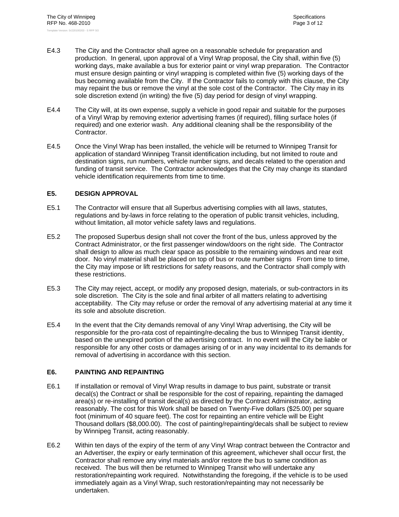- E4.3 The City and the Contractor shall agree on a reasonable schedule for preparation and production. In general, upon approval of a Vinyl Wrap proposal, the City shall, within five (5) working days, make available a bus for exterior paint or vinyl wrap preparation. The Contractor must ensure design painting or vinyl wrapping is completed within five (5) working days of the bus becoming available from the City. If the Contractor fails to comply with this clause, the City may repaint the bus or remove the vinyl at the sole cost of the Contractor. The City may in its sole discretion extend (in writing) the five (5) day period for design of vinyl wrapping.
- E4.4 The City will, at its own expense, supply a vehicle in good repair and suitable for the purposes of a Vinyl Wrap by removing exterior advertising frames (if required), filling surface holes (if required) and one exterior wash. Any additional cleaning shall be the responsibility of the Contractor.
- E4.5 Once the Vinyl Wrap has been installed, the vehicle will be returned to Winnipeg Transit for application of standard Winnipeg Transit identification including, but not limited to route and destination signs, run numbers, vehicle number signs, and decals related to the operation and funding of transit service. The Contractor acknowledges that the City may change its standard vehicle identification requirements from time to time.

# **E5. DESIGN APPROVAL**

- E5.1 The Contractor will ensure that all Superbus advertising complies with all laws, statutes, regulations and by-laws in force relating to the operation of public transit vehicles, including, without limitation, all motor vehicle safety laws and regulations.
- E5.2 The proposed Superbus design shall not cover the front of the bus, unless approved by the Contract Administrator, or the first passenger window/doors on the right side. The Contractor shall design to allow as much clear space as possible to the remaining windows and rear exit door. No vinyl material shall be placed on top of bus or route number signs From time to time, the City may impose or lift restrictions for safety reasons, and the Contractor shall comply with these restrictions.
- E5.3 The City may reject, accept, or modify any proposed design, materials, or sub-contractors in its sole discretion. The City is the sole and final arbiter of all matters relating to advertising acceptability. The City may refuse or order the removal of any advertising material at any time it its sole and absolute discretion.
- E5.4 In the event that the City demands removal of any Vinyl Wrap advertising, the City will be responsible for the pro-rata cost of repainting/re-decaling the bus to Winnipeg Transit identity, based on the unexpired portion of the advertising contract. In no event will the City be liable or responsible for any other costs or damages arising of or in any way incidental to its demands for removal of advertising in accordance with this section.

# **E6. PAINTING AND REPAINTING**

- E6.1 If installation or removal of Vinyl Wrap results in damage to bus paint, substrate or transit decal(s) the Contract or shall be responsible for the cost of repairing, repainting the damaged area(s) or re-installing of transit decal(s) as directed by the Contract Administrator, acting reasonably. The cost for this Work shall be based on Twenty-Five dollars (\$25.00) per square foot (minimum of 40 square feet). The cost for repainting an entire vehicle will be Eight Thousand dollars (\$8,000.00). The cost of painting/repainting/decals shall be subject to review by Winnipeg Transit, acting reasonably.
- E6.2 Within ten days of the expiry of the term of any Vinyl Wrap contract between the Contractor and an Advertiser, the expiry or early termination of this agreement, whichever shall occur first, the Contractor shall remove any vinyl materials and/or restore the bus to same condition as received. The bus will then be returned to Winnipeg Transit who will undertake any restoration/repainting work required. Notwithstanding the foregoing, if the vehicle is to be used immediately again as a Vinyl Wrap, such restoration/repainting may not necessarily be undertaken.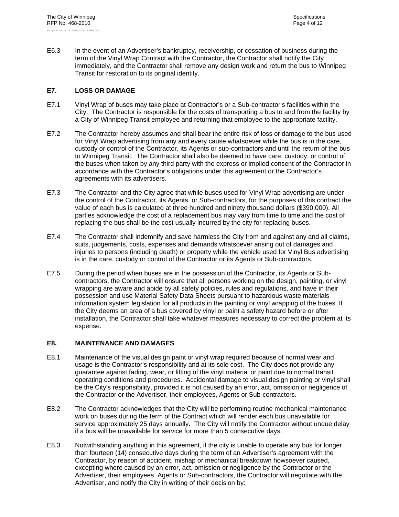E6.3 In the event of an Advertiser's bankruptcy, receivership, or cessation of business during the term of the Vinyl Wrap Contract with the Contractor, the Contractor shall notify the City immediately, and the Contractor shall remove any design work and return the bus to Winnipeg Transit for restoration to its original identity.

# **E7. LOSS OR DAMAGE**

- E7.1 Vinyl Wrap of buses may take place at Contractor's or a Sub-contractor's facilities within the City. The Contractor is responsible for the costs of transporting a bus to and from the facility by a City of Winnipeg Transit employee and returning that employee to the appropriate facility.
- E7.2 The Contractor hereby assumes and shall bear the entire risk of loss or damage to the bus used for Vinyl Wrap advertising from any and every cause whatsoever while the bus is in the care, custody or control of the Contractor, its Agents or sub-contractors and until the return of the bus to Winnipeg Transit. The Contractor shall also be deemed to have care, custody, or control of the buses when taken by any third party with the express or implied consent of the Contractor in accordance with the Contractor's obligations under this agreement or the Contractor's agreements with its advertisers.
- E7.3 The Contractor and the City agree that while buses used for Vinyl Wrap advertising are under the control of the Contractor, its Agents, or Sub-contractors, for the purposes of this contract the value of each bus is calculated at three hundred and ninety thousand dollars (\$390,000). All parties acknowledge the cost of a replacement bus may vary from time to time and the cost of replacing the bus shall be the cost usually incurred by the city for replacing buses.
- E7.4 The Contractor shall indemnify and save harmless the City from and against any and all claims, suits, judgements, costs, expenses and demands whatsoever arising out of damages and injuries to persons (including death) or property while the vehicle used for Vinyl Bus advertising is in the care, custody or control of the Contractor or its Agents or Sub-contractors.
- E7.5 During the period when buses are in the possession of the Contractor, its Agents or Subcontractors, the Contractor will ensure that all persons working on the design, painting, or vinyl wrapping are aware and abide by all safety policies, rules and regulations, and have in their possession and use Material Safety Data Sheets pursuant to hazardous waste materials information system legislation for all products in the painting or vinyl wrapping of the buses. If the City deems an area of a bus covered by vinyl or paint a safety hazard before or after installation, the Contractor shall take whatever measures necessary to correct the problem at its expense.

# **E8. MAINTENANCE AND DAMAGES**

- E8.1 Maintenance of the visual design paint or vinyl wrap required because of normal wear and usage is the Contractor's responsibility and at its sole cost. The City does not provide any guarantee against fading, wear, or lifting of the vinyl material or paint due to normal transit operating conditions and procedures. Accidental damage to visual design painting or vinyl shall be the City's responsibility, provided it is not caused by an error, act, omission or negligence of the Contractor or the Advertiser, their employees, Agents or Sub-contractors.
- E8.2 The Contractor acknowledges that the City will be performing routine mechanical maintenance work on buses during the term of the Contract which will render each bus unavailable for service approximately 25 days annually. The City will notify the Contractor without undue delay if a bus will be unavailable for service for more than 5 consecutive days.
- E8.3 Notwithstanding anything in this agreement, if the city is unable to operate any bus for longer than fourteen (14) consecutive days during the term of an Advertiser's agreement with the Contractor, by reason of accident, mishap or mechanical breakdown howsoever caused, excepting where caused by an error, act, omission or negligence by the Contractor or the Advertiser, their employees, Agents or Sub-contractors, the Contractor will negotiate with the Advertiser, and notify the City in writing of their decision by: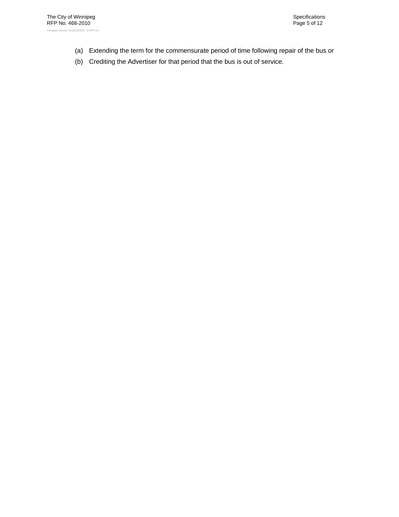- (a) Extending the term for the commensurate period of time following repair of the bus or
- (b) Crediting the Advertiser for that period that the bus is out of service.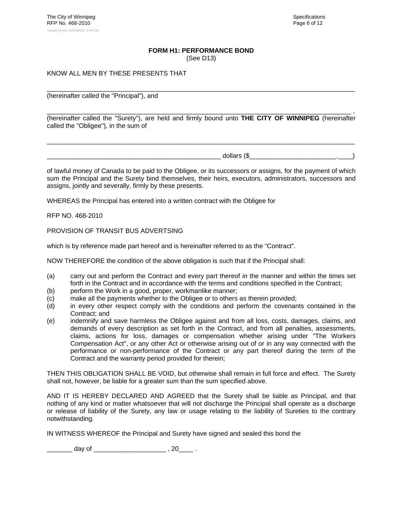# **FORM H1: PERFORMANCE BOND**

(See D13)

# KNOW ALL MEN BY THESE PRESENTS THAT

(hereinafter called the "Principal"), and

\_\_\_\_\_\_\_\_\_\_\_\_\_\_\_\_\_\_\_\_\_\_\_\_\_\_\_\_\_\_\_\_\_\_\_\_\_\_\_\_\_\_\_\_\_\_\_\_\_\_\_\_\_\_\_\_\_\_\_\_\_\_\_\_\_\_\_\_\_\_\_\_\_\_\_\_\_\_\_\_\_\_\_\_ , (hereinafter called the "Surety"), are held and firmly bound unto **THE CITY OF WINNIPEG** (hereinafter called the "Obligee"), in the sum of

\_\_\_\_\_\_\_\_\_\_\_\_\_\_\_\_\_\_\_\_\_\_\_\_\_\_\_\_\_\_\_\_\_\_\_\_\_\_\_\_\_\_\_\_\_\_\_\_\_\_\_\_\_\_\_\_\_\_\_\_\_\_\_\_\_\_\_\_\_\_\_\_\_\_\_\_\_\_\_\_\_\_\_\_\_

\_\_\_\_\_\_\_\_\_\_\_\_\_\_\_\_\_\_\_\_\_\_\_\_\_\_\_\_\_\_\_\_\_\_\_\_\_\_\_\_\_\_\_\_\_\_\_\_\_\_\_\_\_\_\_\_\_\_\_\_\_\_\_\_\_\_\_\_\_\_\_\_\_\_\_\_\_\_\_\_\_\_\_\_\_

 $\Delta$  dollars (\$

of lawful money of Canada to be paid to the Obligee, or its successors or assigns, for the payment of which sum the Principal and the Surety bind themselves, their heirs, executors, administrators, successors and assigns, jointly and severally, firmly by these presents.

WHEREAS the Principal has entered into a written contract with the Obligee for

RFP NO. 468-2010

PROVISION OF TRANSIT BUS ADVERTSING

which is by reference made part hereof and is hereinafter referred to as the "Contract".

NOW THEREFORE the condition of the above obligation is such that if the Principal shall:

- (a) carry out and perform the Contract and every part thereof in the manner and within the times set forth in the Contract and in accordance with the terms and conditions specified in the Contract;
- (b) perform the Work in a good, proper, workmanlike manner;
- (c) make all the payments whether to the Obligee or to others as therein provided;
- (d) in every other respect comply with the conditions and perform the covenants contained in the Contract; and
- (e) indemnify and save harmless the Obligee against and from all loss, costs, damages, claims, and demands of every description as set forth in the Contract, and from all penalties, assessments, claims, actions for loss, damages or compensation whether arising under "The Workers Compensation Act", or any other Act or otherwise arising out of or in any way connected with the performance or non-performance of the Contract or any part thereof during the term of the Contract and the warranty period provided for therein;

THEN THIS OBLIGATION SHALL BE VOID, but otherwise shall remain in full force and effect. The Surety shall not, however, be liable for a greater sum than the sum specified above.

AND IT IS HEREBY DECLARED AND AGREED that the Surety shall be liable as Principal, and that nothing of any kind or matter whatsoever that will not discharge the Principal shall operate as a discharge or release of liability of the Surety, any law or usage relating to the liability of Sureties to the contrary notwithstanding.

IN WITNESS WHEREOF the Principal and Surety have signed and sealed this bond the

\_\_\_\_\_\_\_ day of \_\_\_\_\_\_\_\_\_\_\_\_\_\_\_\_\_\_\_\_\_\_\_\_ , 20\_\_\_\_\_ .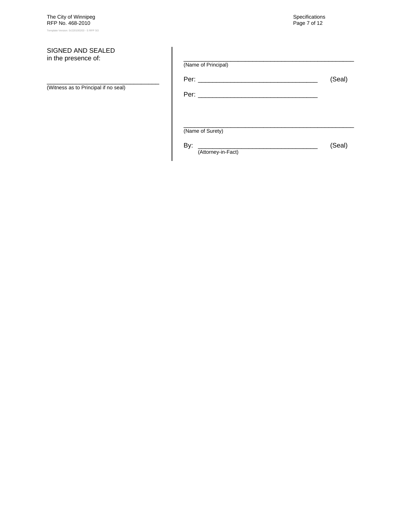# SIGNED AND SEALED in the presence of:

\_\_\_\_\_\_\_\_\_\_\_\_\_\_\_\_\_\_\_\_\_\_\_\_\_\_\_\_\_\_\_ (Witness as to Principal if no seal)

| (Name of Principal)       |        |
|---------------------------|--------|
|                           | (Seal) |
|                           |        |
|                           |        |
| (Name of Surety)          |        |
| By:<br>(Attorney-in-Fact) | (Seal) |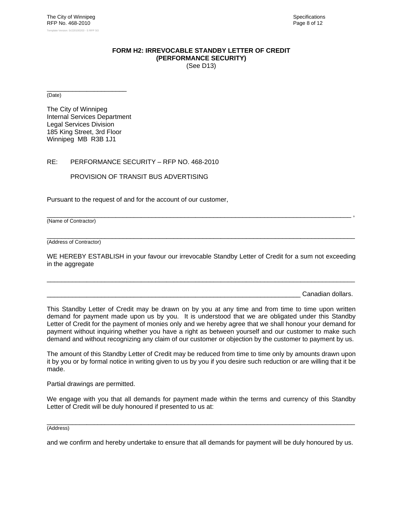#### **FORM H2: IRREVOCABLE STANDBY LETTER OF CREDIT (PERFORMANCE SECURITY)** (See D13)

\_\_\_\_\_\_\_\_\_\_\_\_\_\_\_\_\_\_\_\_\_\_ (Date)

The City of Winnipeg Internal Services Department Legal Services Division 185 King Street, 3rd Floor Winnipeg MB R3B 1J1

# RE: PERFORMANCE SECURITY – RFP NO. 468-2010

PROVISION OF TRANSIT BUS ADVERTISING

Pursuant to the request of and for the account of our customer,

\_\_\_\_\_\_\_\_\_\_\_\_\_\_\_\_\_\_\_\_\_\_\_\_\_\_\_\_\_\_\_\_\_\_\_\_\_\_\_\_\_\_\_\_\_\_\_\_\_\_\_\_\_\_\_\_\_\_\_\_\_\_\_\_\_\_\_\_\_\_\_\_\_\_\_\_\_\_\_\_\_\_\_\_ , (Name of Contractor)

 $\Box$ (Address of Contractor)

WE HEREBY ESTABLISH in your favour our irrevocable Standby Letter of Credit for a sum not exceeding in the aggregate

\_\_\_\_\_\_\_\_\_\_\_\_\_\_\_\_\_\_\_\_\_\_\_\_\_\_\_\_\_\_\_\_\_\_\_\_\_\_\_\_\_\_\_\_\_\_\_\_\_\_\_\_\_\_\_\_\_\_\_\_\_\_\_\_\_\_\_\_\_\_\_\_\_\_\_\_\_\_\_\_\_\_\_\_\_

Canadian dollars.

This Standby Letter of Credit may be drawn on by you at any time and from time to time upon written demand for payment made upon us by you. It is understood that we are obligated under this Standby Letter of Credit for the payment of monies only and we hereby agree that we shall honour your demand for payment without inquiring whether you have a right as between yourself and our customer to make such demand and without recognizing any claim of our customer or objection by the customer to payment by us.

The amount of this Standby Letter of Credit may be reduced from time to time only by amounts drawn upon it by you or by formal notice in writing given to us by you if you desire such reduction or are willing that it be made.

Partial drawings are permitted.

We engage with you that all demands for payment made within the terms and currency of this Standby Letter of Credit will be duly honoured if presented to us at:

\_\_\_\_\_\_\_\_\_\_\_\_\_\_\_\_\_\_\_\_\_\_\_\_\_\_\_\_\_\_\_\_\_\_\_\_\_\_\_\_\_\_\_\_\_\_\_\_\_\_\_\_\_\_\_\_\_\_\_\_\_\_\_\_\_\_\_\_\_\_\_\_\_\_\_\_\_\_\_\_\_\_\_\_\_

(Address)

and we confirm and hereby undertake to ensure that all demands for payment will be duly honoured by us.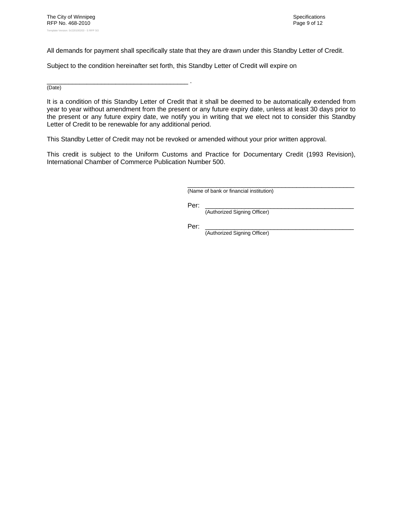All demands for payment shall specifically state that they are drawn under this Standby Letter of Credit.

Subject to the condition hereinafter set forth, this Standby Letter of Credit will expire on

\_\_\_\_\_\_\_\_\_\_\_\_\_\_\_\_\_\_\_\_\_\_\_\_\_\_\_\_\_\_\_\_\_\_\_\_\_\_\_ . (Date)

It is a condition of this Standby Letter of Credit that it shall be deemed to be automatically extended from year to year without amendment from the present or any future expiry date, unless at least 30 days prior to the present or any future expiry date, we notify you in writing that we elect not to consider this Standby Letter of Credit to be renewable for any additional period.

This Standby Letter of Credit may not be revoked or amended without your prior written approval.

This credit is subject to the Uniform Customs and Practice for Documentary Credit (1993 Revision), International Chamber of Commerce Publication Number 500.

 $\frac{1}{2}$  ,  $\frac{1}{2}$  ,  $\frac{1}{2}$  ,  $\frac{1}{2}$  ,  $\frac{1}{2}$  ,  $\frac{1}{2}$  ,  $\frac{1}{2}$  ,  $\frac{1}{2}$  ,  $\frac{1}{2}$  ,  $\frac{1}{2}$  ,  $\frac{1}{2}$  ,  $\frac{1}{2}$  ,  $\frac{1}{2}$  ,  $\frac{1}{2}$  ,  $\frac{1}{2}$  ,  $\frac{1}{2}$  ,  $\frac{1}{2}$  ,  $\frac{1}{2}$  ,  $\frac{1$ (Name of bank or financial institution)

Per: \_\_\_\_\_\_\_\_\_\_\_\_\_\_\_\_\_\_\_\_\_\_\_\_\_\_\_\_\_\_\_\_\_\_\_\_\_\_\_\_\_

(Authorized Signing Officer)

Per: \_\_\_\_\_\_\_\_\_\_\_\_\_\_\_\_\_\_\_\_\_\_\_\_\_\_\_\_\_\_\_\_\_\_\_\_\_\_\_\_\_

(Authorized Signing Officer)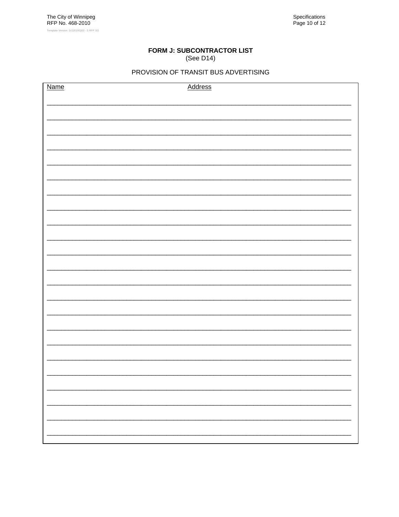# FORM J: SUBCONTRACTOR LIST (See D14)

| <b>Name</b> | <b>Address</b> |
|-------------|----------------|
|             |                |
|             |                |
|             |                |
|             |                |
|             |                |
|             |                |
|             |                |
|             |                |
|             |                |
|             |                |
|             |                |
|             |                |
|             |                |
|             |                |
|             |                |
|             |                |
|             |                |
|             |                |
|             |                |
|             |                |
|             |                |
|             |                |
|             |                |
|             |                |
|             |                |
|             |                |
|             |                |
|             |                |
|             |                |
|             |                |
|             |                |
|             |                |
|             |                |
|             |                |
|             |                |
|             |                |
|             |                |
|             |                |
|             |                |
|             |                |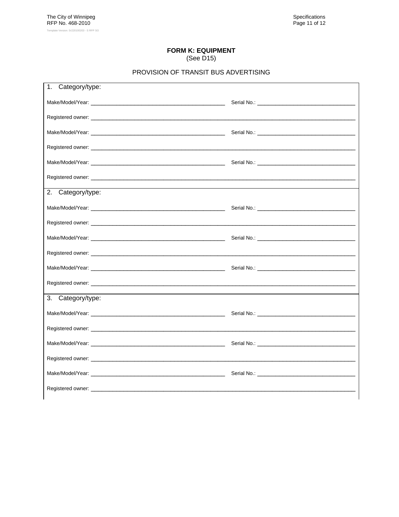#### **FORM K: EQUIPMENT**  $\sim$

| (See D15) |  |  |
|-----------|--|--|
|-----------|--|--|

| Category/type:<br>1.                                                                                                                                                                                                           |                                 |
|--------------------------------------------------------------------------------------------------------------------------------------------------------------------------------------------------------------------------------|---------------------------------|
| Make/Model/Year: with a state of the state of the state of the state of the state of the state of the state of                                                                                                                 |                                 |
|                                                                                                                                                                                                                                |                                 |
|                                                                                                                                                                                                                                | Serial No.: <b>Example 2018</b> |
|                                                                                                                                                                                                                                |                                 |
|                                                                                                                                                                                                                                |                                 |
|                                                                                                                                                                                                                                |                                 |
| 2. Category/type:                                                                                                                                                                                                              |                                 |
|                                                                                                                                                                                                                                |                                 |
|                                                                                                                                                                                                                                |                                 |
| Make/Model/Year: with a state of the state of the state of the state of the state of the state of the state of the state of the state of the state of the state of the state of the state of the state of the state of the sta |                                 |
|                                                                                                                                                                                                                                |                                 |
|                                                                                                                                                                                                                                |                                 |
|                                                                                                                                                                                                                                |                                 |
| 3.<br>Category/type:                                                                                                                                                                                                           |                                 |
|                                                                                                                                                                                                                                |                                 |
|                                                                                                                                                                                                                                |                                 |
|                                                                                                                                                                                                                                |                                 |
| Registered owner: with a state of the contract of the contract of the contract of the contract of the contract of the contract of the contract of the contract of the contract of the contract of the contract of the contract |                                 |
|                                                                                                                                                                                                                                |                                 |
|                                                                                                                                                                                                                                |                                 |
|                                                                                                                                                                                                                                |                                 |